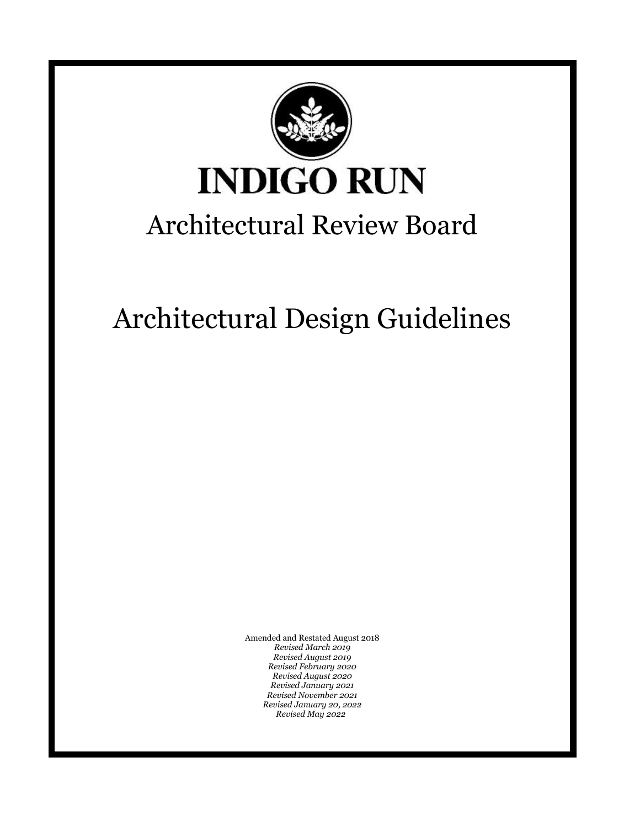

Architectural Design Guidelines

Amended and Restated August 2018 *Revised March 2019 Revised August 2019 Revised February 2020 Revised August 2020 Revised January 2021 Revised November 2021 Revised January 20, 2022 Revised May 2022*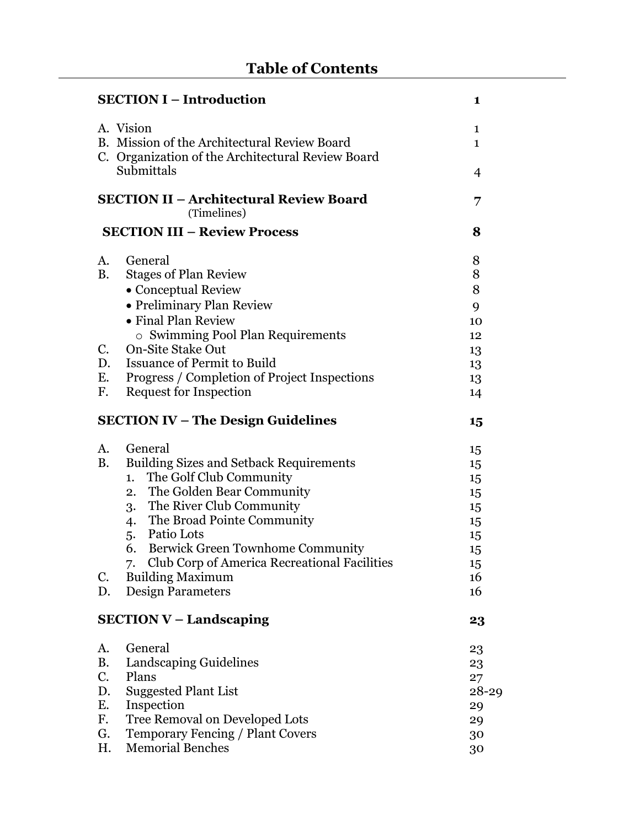|             | <b>SECTION I - Introduction</b>                                 | 1            |  |
|-------------|-----------------------------------------------------------------|--------------|--|
|             | A. Vision                                                       | $\mathbf{1}$ |  |
|             | B. Mission of the Architectural Review Board                    | $\mathbf{1}$ |  |
|             | C. Organization of the Architectural Review Board<br>Submittals | 4            |  |
|             | <b>SECTION II - Architectural Review Board</b><br>(Timelines)   |              |  |
|             | <b>SECTION III - Review Process</b>                             | 8            |  |
| A.          | General                                                         | 8            |  |
| <b>B.</b>   | <b>Stages of Plan Review</b>                                    | 8            |  |
|             | • Conceptual Review                                             | 8            |  |
|             | • Preliminary Plan Review                                       | 9            |  |
|             | • Final Plan Review                                             | 10           |  |
|             | $\circ$ Swimming Pool Plan Requirements                         | 12           |  |
| $C_{\cdot}$ | <b>On-Site Stake Out</b>                                        | 13           |  |
| D.          | <b>Issuance of Permit to Build</b>                              | 13           |  |
| E.          | Progress / Completion of Project Inspections                    | 13           |  |
| F.          | Request for Inspection                                          | 14           |  |
|             | <b>SECTION IV – The Design Guidelines</b>                       | 15           |  |
| A.          | General                                                         | 15           |  |
| <b>B.</b>   | <b>Building Sizes and Setback Requirements</b>                  | 15           |  |
|             | The Golf Club Community<br>1.                                   | 15           |  |
|             | The Golden Bear Community<br>2.                                 | 15           |  |
|             | The River Club Community<br>3.                                  | 15           |  |
|             | The Broad Pointe Community<br>4.                                | 15           |  |
|             | 5. Patio Lots                                                   | 15           |  |
|             | <b>Berwick Green Townhome Community</b><br>6.                   | 15           |  |
|             | 7.<br>Club Corp of America Recreational Facilities              | 15           |  |
| C.          | <b>Building Maximum</b>                                         | 16           |  |
| D.          | Design Parameters                                               | 16           |  |
|             | $SECTION V-Landscaping$                                         | 23           |  |
| A.          | General                                                         | 23           |  |
| <b>B.</b>   | Landscaping Guidelines                                          | 23           |  |
| C.          | Plans                                                           | 27           |  |
| D.          | <b>Suggested Plant List</b>                                     | $28 - 29$    |  |
| E.          | Inspection                                                      | 29           |  |
| F.          | Tree Removal on Developed Lots                                  | 29           |  |
| G.          | <b>Temporary Fencing / Plant Covers</b>                         | 30           |  |
| Η.          | <b>Memorial Benches</b>                                         | 30           |  |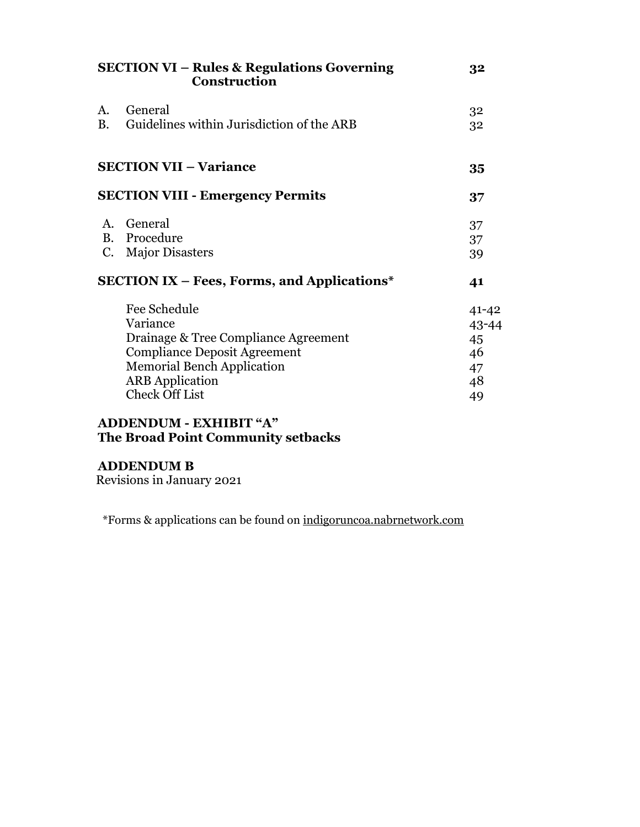| General<br>A.<br>B. Guidelines within Jurisdiction of the ARB<br><b>SECTION VII - Variance</b><br><b>SECTION VIII - Emergency Permits</b>                                                       | 32                                               |
|-------------------------------------------------------------------------------------------------------------------------------------------------------------------------------------------------|--------------------------------------------------|
|                                                                                                                                                                                                 | 32<br>32                                         |
|                                                                                                                                                                                                 | 35                                               |
|                                                                                                                                                                                                 | 37                                               |
| A. General<br>B. Procedure<br>C. Major Disasters                                                                                                                                                | 37<br>37<br>39                                   |
| <b>SECTION IX – Fees, Forms, and Applications*</b>                                                                                                                                              | 41                                               |
| Fee Schedule<br>Variance<br>Drainage & Tree Compliance Agreement<br><b>Compliance Deposit Agreement</b><br><b>Memorial Bench Application</b><br><b>ARB</b> Application<br><b>Check Off List</b> | $41 - 42$<br>43-44<br>45<br>46<br>47<br>48<br>49 |

#### **ADDENDUM - EXHIBIT "A" The Broad Point Community setbacks**

#### **ADDENDUM B**

Revisions in January 2021

\*Forms & applications can be found on indigoruncoa.nabrnetwork.com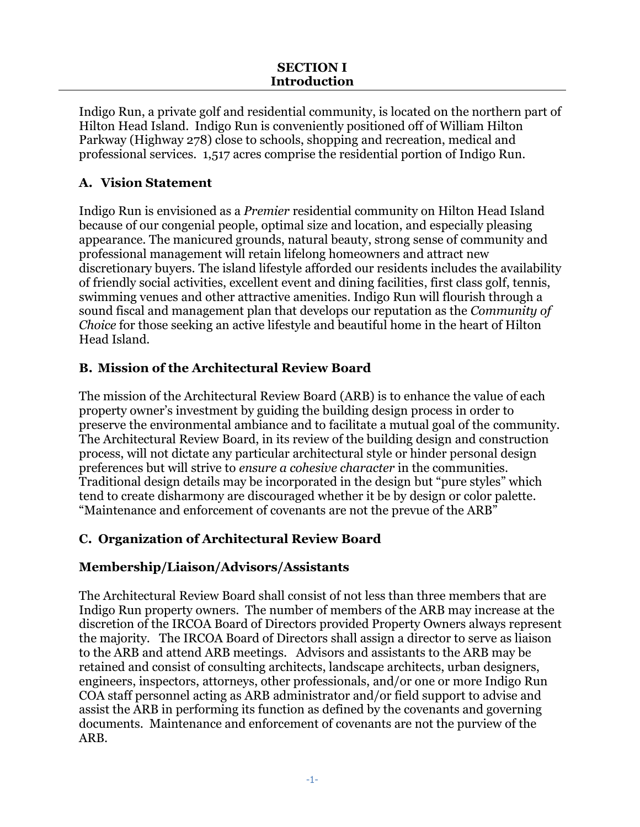Indigo Run, a private golf and residential community, is located on the northern part of Hilton Head Island. Indigo Run is conveniently positioned off of William Hilton Parkway (Highway 278) close to schools, shopping and recreation, medical and professional services. 1,517 acres comprise the residential portion of Indigo Run.

# **A. Vision Statement**

Indigo Run is envisioned as a *Premier* residential community on Hilton Head Island because of our congenial people, optimal size and location, and especially pleasing appearance. The manicured grounds, natural beauty, strong sense of community and professional management will retain lifelong homeowners and attract new discretionary buyers. The island lifestyle afforded our residents includes the availability of friendly social activities, excellent event and dining facilities, first class golf, tennis, swimming venues and other attractive amenities. Indigo Run will flourish through a sound fiscal and management plan that develops our reputation as the *Community of Choice* for those seeking an active lifestyle and beautiful home in the heart of Hilton Head Island.

# **B. Mission of the Architectural Review Board**

The mission of the Architectural Review Board (ARB) is to enhance the value of each property owner's investment by guiding the building design process in order to preserve the environmental ambiance and to facilitate a mutual goal of the community. The Architectural Review Board, in its review of the building design and construction process, will not dictate any particular architectural style or hinder personal design preferences but will strive to *ensure a cohesive character* in the communities. Traditional design details may be incorporated in the design but "pure styles" which tend to create disharmony are discouraged whether it be by design or color palette. "Maintenance and enforcement of covenants are not the prevue of the ARB"

# **C. Organization of Architectural Review Board**

# **Membership/Liaison/Advisors/Assistants**

The Architectural Review Board shall consist of not less than three members that are Indigo Run property owners. The number of members of the ARB may increase at the discretion of the IRCOA Board of Directors provided Property Owners always represent the majority. The IRCOA Board of Directors shall assign a director to serve as liaison to the ARB and attend ARB meetings. Advisors and assistants to the ARB may be retained and consist of consulting architects, landscape architects, urban designers, engineers, inspectors, attorneys, other professionals, and/or one or more Indigo Run COA staff personnel acting as ARB administrator and/or field support to advise and assist the ARB in performing its function as defined by the covenants and governing documents. Maintenance and enforcement of covenants are not the purview of the ARB.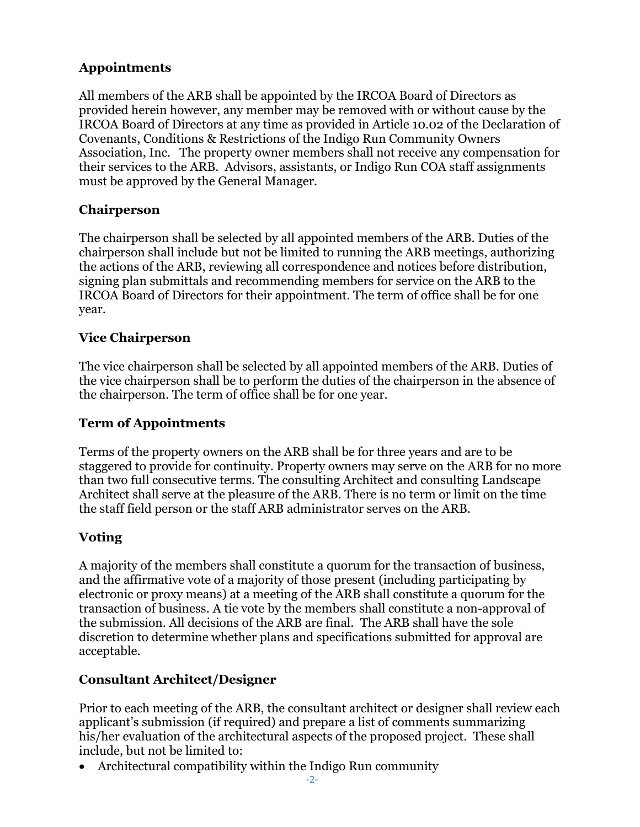# **Appointments**

All members of the ARB shall be appointed by the IRCOA Board of Directors as provided herein however, any member may be removed with or without cause by the IRCOA Board of Directors at any time as provided in Article 10.02 of the Declaration of Covenants, Conditions & Restrictions of the Indigo Run Community Owners Association, Inc. The property owner members shall not receive any compensation for their services to the ARB. Advisors, assistants, or Indigo Run COA staff assignments must be approved by the General Manager.

# **Chairperson**

The chairperson shall be selected by all appointed members of the ARB. Duties of the chairperson shall include but not be limited to running the ARB meetings, authorizing the actions of the ARB, reviewing all correspondence and notices before distribution, signing plan submittals and recommending members for service on the ARB to the IRCOA Board of Directors for their appointment. The term of office shall be for one year.

## **Vice Chairperson**

The vice chairperson shall be selected by all appointed members of the ARB. Duties of the vice chairperson shall be to perform the duties of the chairperson in the absence of the chairperson. The term of office shall be for one year.

## **Term of Appointments**

Terms of the property owners on the ARB shall be for three years and are to be staggered to provide for continuity. Property owners may serve on the ARB for no more than two full consecutive terms. The consulting Architect and consulting Landscape Architect shall serve at the pleasure of the ARB. There is no term or limit on the time the staff field person or the staff ARB administrator serves on the ARB.

# **Voting**

A majority of the members shall constitute a quorum for the transaction of business, and the affirmative vote of a majority of those present (including participating by electronic or proxy means) at a meeting of the ARB shall constitute a quorum for the transaction of business. A tie vote by the members shall constitute a non-approval of the submission. All decisions of the ARB are final. The ARB shall have the sole discretion to determine whether plans and specifications submitted for approval are acceptable.

# **Consultant Architect/Designer**

Prior to each meeting of the ARB, the consultant architect or designer shall review each applicant's submission (if required) and prepare a list of comments summarizing his/her evaluation of the architectural aspects of the proposed project. These shall include, but not be limited to:

• Architectural compatibility within the Indigo Run community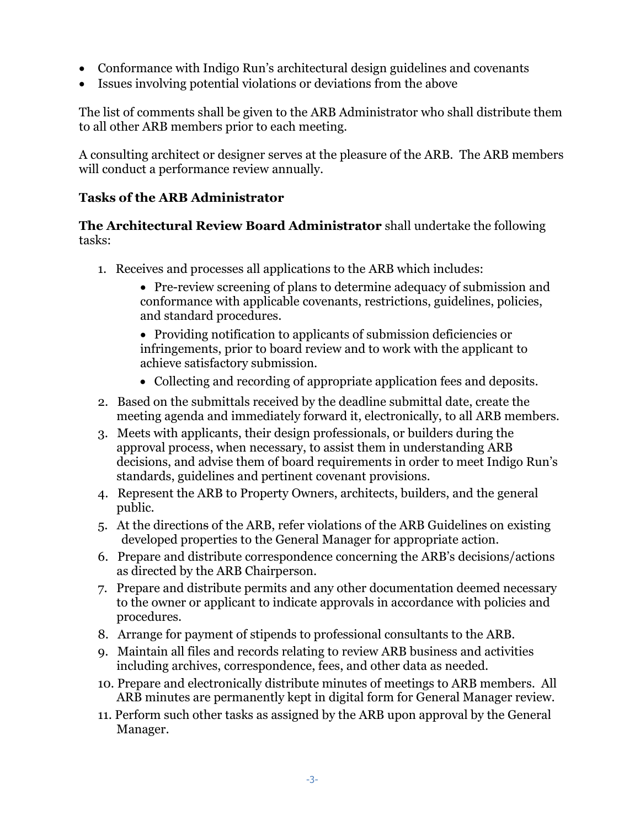- Conformance with Indigo Run's architectural design guidelines and covenants
- Issues involving potential violations or deviations from the above

The list of comments shall be given to the ARB Administrator who shall distribute them to all other ARB members prior to each meeting.

A consulting architect or designer serves at the pleasure of the ARB. The ARB members will conduct a performance review annually.

# **Tasks of the ARB Administrator**

**The Architectural Review Board Administrator** shall undertake the following tasks:

- 1. Receives and processes all applications to the ARB which includes:
	- Pre-review screening of plans to determine adequacy of submission and conformance with applicable covenants, restrictions, guidelines, policies, and standard procedures.
	- Providing notification to applicants of submission deficiencies or infringements, prior to board review and to work with the applicant to achieve satisfactory submission.
	- Collecting and recording of appropriate application fees and deposits.
- 2. Based on the submittals received by the deadline submittal date, create the meeting agenda and immediately forward it, electronically, to all ARB members.
- 3. Meets with applicants, their design professionals, or builders during the approval process, when necessary, to assist them in understanding ARB decisions, and advise them of board requirements in order to meet Indigo Run's standards, guidelines and pertinent covenant provisions.
- 4. Represent the ARB to Property Owners, architects, builders, and the general public.
- 5. At the directions of the ARB, refer violations of the ARB Guidelines on existing developed properties to the General Manager for appropriate action.
- 6. Prepare and distribute correspondence concerning the ARB's decisions/actions as directed by the ARB Chairperson.
- 7. Prepare and distribute permits and any other documentation deemed necessary to the owner or applicant to indicate approvals in accordance with policies and procedures.
- 8. Arrange for payment of stipends to professional consultants to the ARB.
- 9. Maintain all files and records relating to review ARB business and activities including archives, correspondence, fees, and other data as needed.
- 10. Prepare and electronically distribute minutes of meetings to ARB members. All ARB minutes are permanently kept in digital form for General Manager review.
- 11. Perform such other tasks as assigned by the ARB upon approval by the General Manager.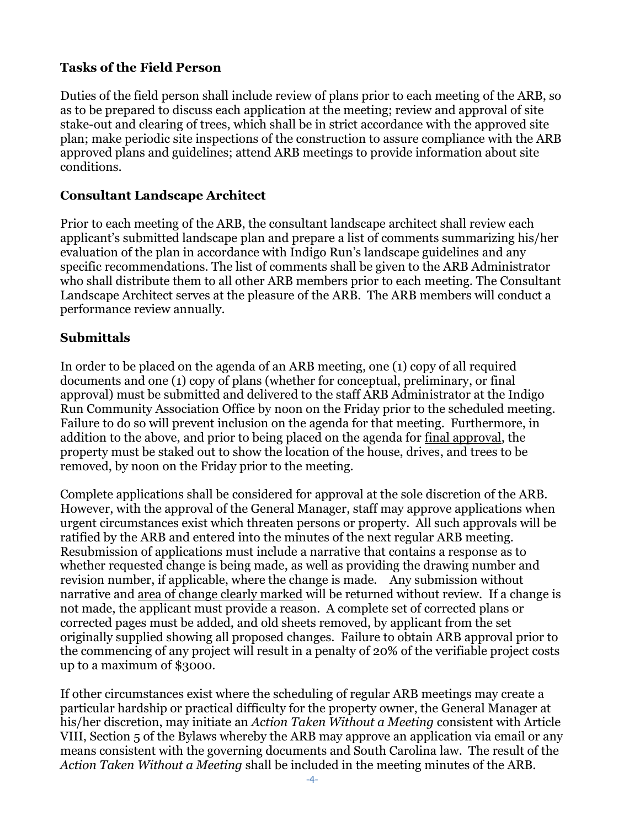## **Tasks of the Field Person**

Duties of the field person shall include review of plans prior to each meeting of the ARB, so as to be prepared to discuss each application at the meeting; review and approval of site stake-out and clearing of trees, which shall be in strict accordance with the approved site plan; make periodic site inspections of the construction to assure compliance with the ARB approved plans and guidelines; attend ARB meetings to provide information about site conditions.

#### **Consultant Landscape Architect**

Prior to each meeting of the ARB, the consultant landscape architect shall review each applicant's submitted landscape plan and prepare a list of comments summarizing his/her evaluation of the plan in accordance with Indigo Run's landscape guidelines and any specific recommendations. The list of comments shall be given to the ARB Administrator who shall distribute them to all other ARB members prior to each meeting. The Consultant Landscape Architect serves at the pleasure of the ARB. The ARB members will conduct a performance review annually.

## **Submittals**

In order to be placed on the agenda of an ARB meeting, one (1) copy of all required documents and one (1) copy of plans (whether for conceptual, preliminary, or final approval) must be submitted and delivered to the staff ARB Administrator at the Indigo Run Community Association Office by noon on the Friday prior to the scheduled meeting. Failure to do so will prevent inclusion on the agenda for that meeting. Furthermore, in addition to the above, and prior to being placed on the agenda for final approval, the property must be staked out to show the location of the house, drives, and trees to be removed, by noon on the Friday prior to the meeting.

Complete applications shall be considered for approval at the sole discretion of the ARB. However, with the approval of the General Manager, staff may approve applications when urgent circumstances exist which threaten persons or property. All such approvals will be ratified by the ARB and entered into the minutes of the next regular ARB meeting. Resubmission of applications must include a narrative that contains a response as to whether requested change is being made, as well as providing the drawing number and revision number, if applicable, where the change is made. Any submission without narrative and area of change clearly marked will be returned without review. If a change is not made, the applicant must provide a reason. A complete set of corrected plans or corrected pages must be added, and old sheets removed, by applicant from the set originally supplied showing all proposed changes. Failure to obtain ARB approval prior to the commencing of any project will result in a penalty of 20% of the verifiable project costs up to a maximum of \$3000.

If other circumstances exist where the scheduling of regular ARB meetings may create a particular hardship or practical difficulty for the property owner, the General Manager at his/her discretion, may initiate an *Action Taken Without a Meeting* consistent with Article VIII, Section 5 of the Bylaws whereby the ARB may approve an application via email or any means consistent with the governing documents and South Carolina law. The result of the *Action Taken Without a Meeting* shall be included in the meeting minutes of the ARB.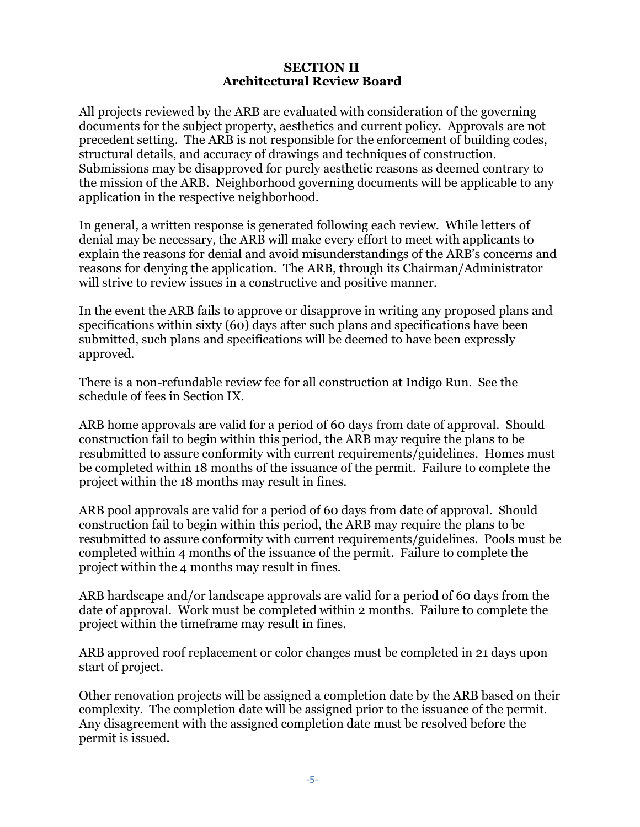All projects reviewed by the ARB are evaluated with consideration of the governing documents for the subject property, aesthetics and current policy. Approvals are not precedent setting. The ARB is not responsible for the enforcement of building codes, structural details, and accuracy of drawings and techniques of construction. Submissions may be disapproved for purely aesthetic reasons as deemed contrary to the mission of the ARB. Neighborhood governing documents will be applicable to any application in the respective neighborhood.

In general, a written response is generated following each review. While letters of denial may be necessary, the ARB will make every effort to meet with applicants to explain the reasons for denial and avoid misunderstandings of the ARB's concerns and reasons for denying the application. The ARB, through its Chairman/Administrator will strive to review issues in a constructive and positive manner.

In the event the ARB fails to approve or disapprove in writing any proposed plans and specifications within sixty (60) days after such plans and specifications have been submitted, such plans and specifications will be deemed to have been expressly approved.

There is a non-refundable review fee for all construction at Indigo Run. See the schedule of fees in Section IX.

ARB home approvals are valid for a period of 60 days from date of approval. Should construction fail to begin within this period, the ARB may require the plans to be resubmitted to assure conformity with current requirements/guidelines. Homes must be completed within 18 months of the issuance of the permit. Failure to complete the project within the 18 months may result in fines.

ARB pool approvals are valid for a period of 60 days from date of approval. Should construction fail to begin within this period, the ARB may require the plans to be resubmitted to assure conformity with current requirements/guidelines. Pools must be completed within 4 months of the issuance of the permit. Failure to complete the project within the 4 months may result in fines.

ARB hardscape and/or landscape approvals are valid for a period of 60 days from the date of approval. Work must be completed within 2 months. Failure to complete the project within the timeframe may result in fines.

ARB approved roof replacement or color changes must be completed in 21 days upon start of project.

Other renovation projects will be assigned a completion date by the ARB based on their complexity. The completion date will be assigned prior to the issuance of the permit. Any disagreement with the assigned completion date must be resolved before the permit is issued.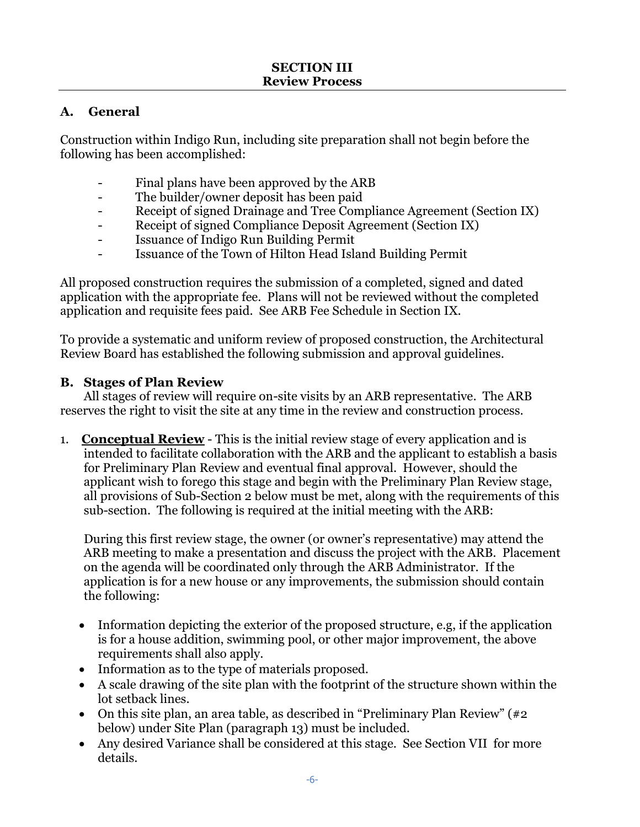## **A. General**

Construction within Indigo Run, including site preparation shall not begin before the following has been accomplished:

- Final plans have been approved by the ARB
- The builder/owner deposit has been paid
- Receipt of signed Drainage and Tree Compliance Agreement (Section IX)
- Receipt of signed Compliance Deposit Agreement (Section IX)
- Issuance of Indigo Run Building Permit
- Issuance of the Town of Hilton Head Island Building Permit

All proposed construction requires the submission of a completed, signed and dated application with the appropriate fee. Plans will not be reviewed without the completed application and requisite fees paid. See ARB Fee Schedule in Section IX.

To provide a systematic and uniform review of proposed construction, the Architectural Review Board has established the following submission and approval guidelines.

## **B. Stages of Plan Review**

All stages of review will require on-site visits by an ARB representative. The ARB reserves the right to visit the site at any time in the review and construction process.

1. **Conceptual Review** - This is the initial review stage of every application and is intended to facilitate collaboration with the ARB and the applicant to establish a basis for Preliminary Plan Review and eventual final approval. However, should the applicant wish to forego this stage and begin with the Preliminary Plan Review stage, all provisions of Sub-Section 2 below must be met, along with the requirements of this sub-section. The following is required at the initial meeting with the ARB:

During this first review stage, the owner (or owner's representative) may attend the ARB meeting to make a presentation and discuss the project with the ARB. Placement on the agenda will be coordinated only through the ARB Administrator. If the application is for a new house or any improvements, the submission should contain the following:

- Information depicting the exterior of the proposed structure, e.g, if the application is for a house addition, swimming pool, or other major improvement, the above requirements shall also apply.
- Information as to the type of materials proposed.
- A scale drawing of the site plan with the footprint of the structure shown within the lot setback lines.
- On this site plan, an area table, as described in "Preliminary Plan Review"  $\left(\#2\right)$ below) under Site Plan (paragraph 13) must be included.
- Any desired Variance shall be considered at this stage. See Section VII for more details.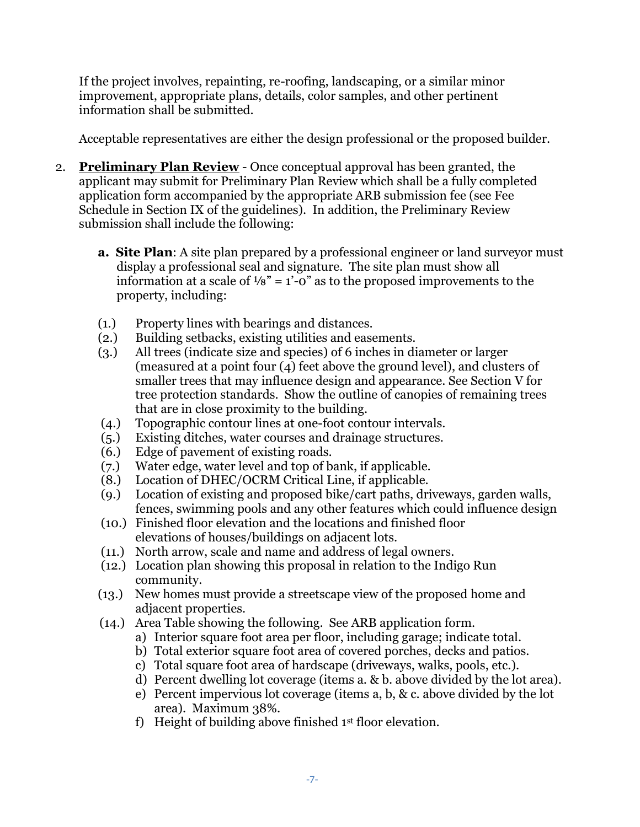If the project involves, repainting, re-roofing, landscaping, or a similar minor improvement, appropriate plans, details, color samples, and other pertinent information shall be submitted.

Acceptable representatives are either the design professional or the proposed builder.

- 2. **Preliminary Plan Review** Once conceptual approval has been granted, the applicant may submit for Preliminary Plan Review which shall be a fully completed application form accompanied by the appropriate ARB submission fee (see Fee Schedule in Section IX of the guidelines). In addition, the Preliminary Review submission shall include the following:
	- **a. Site Plan**: A site plan prepared by a professional engineer or land surveyor must display a professional seal and signature. The site plan must show all information at a scale of  $\frac{1}{8}$ " = 1'-0" as to the proposed improvements to the property, including:
	- (1.) Property lines with bearings and distances.
	- (2.) Building setbacks, existing utilities and easements.
	- (3.) All trees (indicate size and species) of 6 inches in diameter or larger (measured at a point four (4) feet above the ground level), and clusters of smaller trees that may influence design and appearance. See Section V for tree protection standards. Show the outline of canopies of remaining trees that are in close proximity to the building.
	- (4.) Topographic contour lines at one-foot contour intervals.
	- (5.) Existing ditches, water courses and drainage structures.
	- (6.) Edge of pavement of existing roads.
	- (7.) Water edge, water level and top of bank, if applicable.
	- (8.) Location of DHEC/OCRM Critical Line, if applicable.
	- (9.) Location of existing and proposed bike/cart paths, driveways, garden walls, fences, swimming pools and any other features which could influence design
	- (10.) Finished floor elevation and the locations and finished floor elevations of houses/buildings on adjacent lots.
	- (11.) North arrow, scale and name and address of legal owners.
	- (12.) Location plan showing this proposal in relation to the Indigo Run community.
	- (13.) New homes must provide a streetscape view of the proposed home and adjacent properties.
	- (14.) Area Table showing the following. See ARB application form.
		- a) Interior square foot area per floor, including garage; indicate total.
		- b) Total exterior square foot area of covered porches, decks and patios.
		- c) Total square foot area of hardscape (driveways, walks, pools, etc.).
		- d) Percent dwelling lot coverage (items a. & b. above divided by the lot area).
		- e) Percent impervious lot coverage (items a, b, & c. above divided by the lot area). Maximum 38%.
		- f) Height of building above finished  $1<sup>st</sup>$  floor elevation.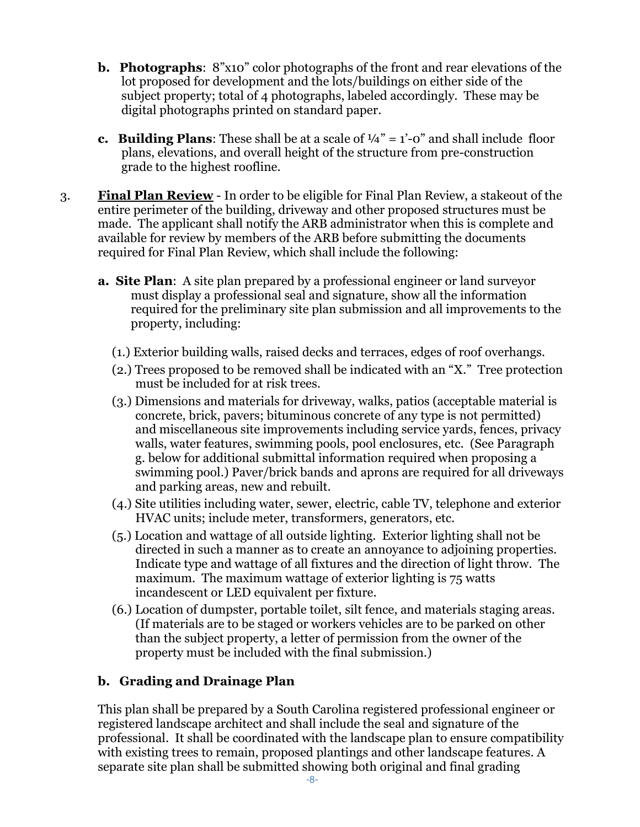- **b. Photographs**: 8"x10" color photographs of the front and rear elevations of the lot proposed for development and the lots/buildings on either side of the subject property; total of 4 photographs, labeled accordingly. These may be digital photographs printed on standard paper.
- **c. Building Plans:** These shall be at a scale of  $\frac{1}{4}$ " = 1'-0" and shall include floor plans, elevations, and overall height of the structure from pre-construction grade to the highest roofline.
- 3. **Final Plan Review** In order to be eligible for Final Plan Review, a stakeout of the entire perimeter of the building, driveway and other proposed structures must be made. The applicant shall notify the ARB administrator when this is complete and available for review by members of the ARB before submitting the documents required for Final Plan Review, which shall include the following:
	- **a. Site Plan**: A site plan prepared by a professional engineer or land surveyor must display a professional seal and signature, show all the information required for the preliminary site plan submission and all improvements to the property, including:
		- (1.) Exterior building walls, raised decks and terraces, edges of roof overhangs.
		- (2.) Trees proposed to be removed shall be indicated with an "X." Tree protection must be included for at risk trees.
		- (3.) Dimensions and materials for driveway, walks, patios (acceptable material is concrete, brick, pavers; bituminous concrete of any type is not permitted) and miscellaneous site improvements including service yards, fences, privacy walls, water features, swimming pools, pool enclosures, etc. (See Paragraph g. below for additional submittal information required when proposing a swimming pool.) Paver/brick bands and aprons are required for all driveways and parking areas, new and rebuilt.
		- (4.) Site utilities including water, sewer, electric, cable TV, telephone and exterior HVAC units; include meter, transformers, generators, etc.
		- (5.) Location and wattage of all outside lighting. Exterior lighting shall not be directed in such a manner as to create an annoyance to adjoining properties. Indicate type and wattage of all fixtures and the direction of light throw. The maximum. The maximum wattage of exterior lighting is 75 watts incandescent or LED equivalent per fixture.
		- (6.) Location of dumpster, portable toilet, silt fence, and materials staging areas. (If materials are to be staged or workers vehicles are to be parked on other than the subject property, a letter of permission from the owner of the property must be included with the final submission.)

# **b. Grading and Drainage Plan**

This plan shall be prepared by a South Carolina registered professional engineer or registered landscape architect and shall include the seal and signature of the professional. It shall be coordinated with the landscape plan to ensure compatibility with existing trees to remain, proposed plantings and other landscape features. A separate site plan shall be submitted showing both original and final grading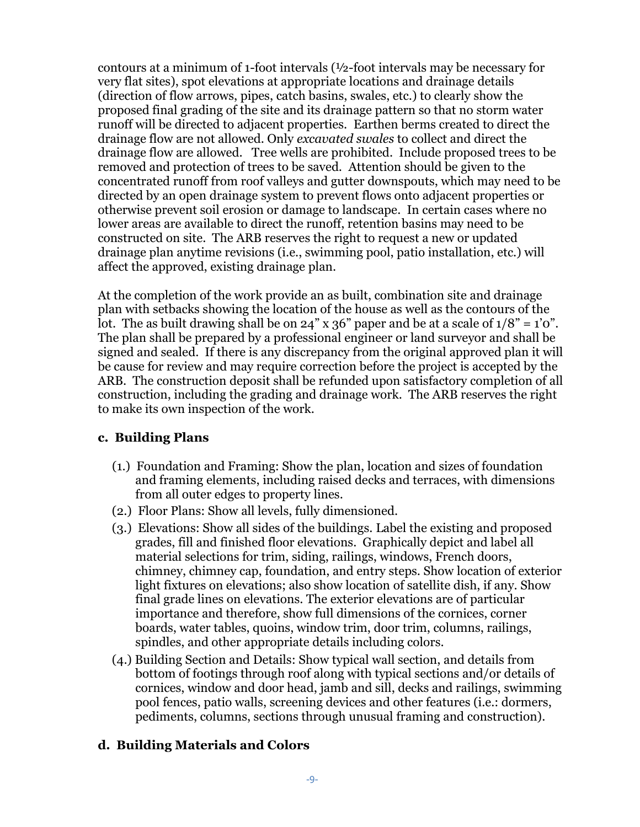contours at a minimum of 1-foot intervals (½-foot intervals may be necessary for very flat sites), spot elevations at appropriate locations and drainage details (direction of flow arrows, pipes, catch basins, swales, etc.) to clearly show the proposed final grading of the site and its drainage pattern so that no storm water runoff will be directed to adjacent properties. Earthen berms created to direct the drainage flow are not allowed. Only *excavated swales* to collect and direct the drainage flow are allowed. Tree wells are prohibited. Include proposed trees to be removed and protection of trees to be saved. Attention should be given to the concentrated runoff from roof valleys and gutter downspouts, which may need to be directed by an open drainage system to prevent flows onto adjacent properties or otherwise prevent soil erosion or damage to landscape. In certain cases where no lower areas are available to direct the runoff, retention basins may need to be constructed on site. The ARB reserves the right to request a new or updated drainage plan anytime revisions (i.e., swimming pool, patio installation, etc.) will affect the approved, existing drainage plan.

At the completion of the work provide an as built, combination site and drainage plan with setbacks showing the location of the house as well as the contours of the lot. The as built drawing shall be on 24" x 36" paper and be at a scale of  $1/8" = 1'0"$ . The plan shall be prepared by a professional engineer or land surveyor and shall be signed and sealed. If there is any discrepancy from the original approved plan it will be cause for review and may require correction before the project is accepted by the ARB. The construction deposit shall be refunded upon satisfactory completion of all construction, including the grading and drainage work. The ARB reserves the right to make its own inspection of the work.

#### **c. Building Plans**

- (1.) Foundation and Framing: Show the plan, location and sizes of foundation and framing elements, including raised decks and terraces, with dimensions from all outer edges to property lines.
- (2.) Floor Plans: Show all levels, fully dimensioned.
- (3.) Elevations: Show all sides of the buildings. Label the existing and proposed grades, fill and finished floor elevations. Graphically depict and label all material selections for trim, siding, railings, windows, French doors, chimney, chimney cap, foundation, and entry steps. Show location of exterior light fixtures on elevations; also show location of satellite dish, if any. Show final grade lines on elevations. The exterior elevations are of particular importance and therefore, show full dimensions of the cornices, corner boards, water tables, quoins, window trim, door trim, columns, railings, spindles, and other appropriate details including colors.
- (4.) Building Section and Details: Show typical wall section, and details from bottom of footings through roof along with typical sections and/or details of cornices, window and door head, jamb and sill, decks and railings, swimming pool fences, patio walls, screening devices and other features (i.e.: dormers, pediments, columns, sections through unusual framing and construction).

## **d. Building Materials and Colors**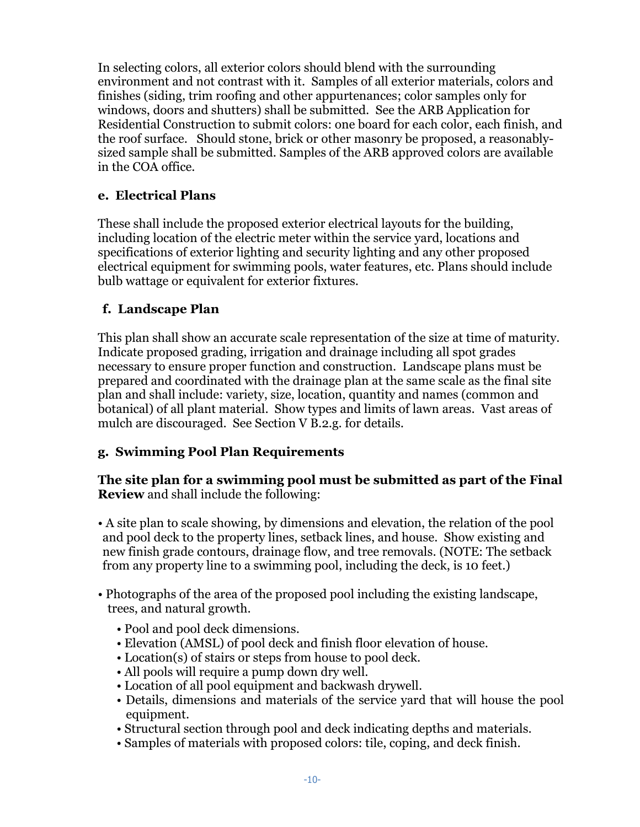In selecting colors, all exterior colors should blend with the surrounding environment and not contrast with it. Samples of all exterior materials, colors and finishes (siding, trim roofing and other appurtenances; color samples only for windows, doors and shutters) shall be submitted. See the ARB Application for Residential Construction to submit colors: one board for each color, each finish, and the roof surface. Should stone, brick or other masonry be proposed, a reasonablysized sample shall be submitted. Samples of the ARB approved colors are available in the COA office.

## **e. Electrical Plans**

These shall include the proposed exterior electrical layouts for the building, including location of the electric meter within the service yard, locations and specifications of exterior lighting and security lighting and any other proposed electrical equipment for swimming pools, water features, etc. Plans should include bulb wattage or equivalent for exterior fixtures.

## **f. Landscape Plan**

This plan shall show an accurate scale representation of the size at time of maturity. Indicate proposed grading, irrigation and drainage including all spot grades necessary to ensure proper function and construction. Landscape plans must be prepared and coordinated with the drainage plan at the same scale as the final site plan and shall include: variety, size, location, quantity and names (common and botanical) of all plant material. Show types and limits of lawn areas. Vast areas of mulch are discouraged. See Section V B.2.g. for details.

# **g. Swimming Pool Plan Requirements**

## **The site plan for a swimming pool must be submitted as part of the Final Review** and shall include the following:

• A site plan to scale showing, by dimensions and elevation, the relation of the pool and pool deck to the property lines, setback lines, and house. Show existing and new finish grade contours, drainage flow, and tree removals. (NOTE: The setback from any property line to a swimming pool, including the deck, is 10 feet.)

- Photographs of the area of the proposed pool including the existing landscape, trees, and natural growth.
	- Pool and pool deck dimensions.
	- Elevation (AMSL) of pool deck and finish floor elevation of house.
	- Location(s) of stairs or steps from house to pool deck.
	- All pools will require a pump down dry well.
	- Location of all pool equipment and backwash drywell.
	- Details, dimensions and materials of the service yard that will house the pool equipment.
	- Structural section through pool and deck indicating depths and materials.
	- Samples of materials with proposed colors: tile, coping, and deck finish.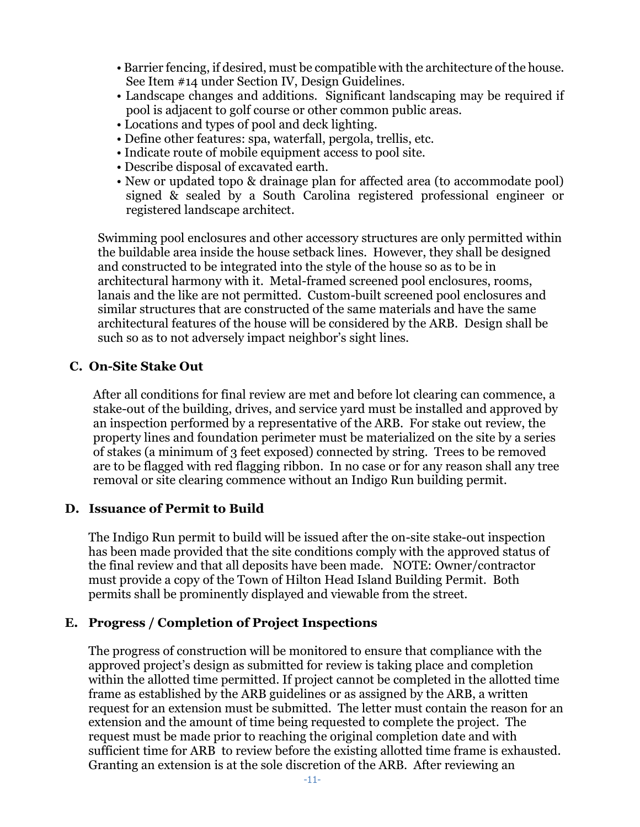- Barrier fencing, if desired, must be compatible with the architecture of the house. See Item #14 under Section IV, Design Guidelines.
- Landscape changes and additions. Significant landscaping may be required if pool is adjacent to golf course or other common public areas.
- Locations and types of pool and deck lighting.
- Define other features: spa, waterfall, pergola, trellis, etc.
- Indicate route of mobile equipment access to pool site.
- Describe disposal of excavated earth.
- New or updated topo & drainage plan for affected area (to accommodate pool) signed & sealed by a South Carolina registered professional engineer or registered landscape architect.

Swimming pool enclosures and other accessory structures are only permitted within the buildable area inside the house setback lines. However, they shall be designed and constructed to be integrated into the style of the house so as to be in architectural harmony with it. Metal-framed screened pool enclosures, rooms, lanais and the like are not permitted. Custom-built screened pool enclosures and similar structures that are constructed of the same materials and have the same architectural features of the house will be considered by the ARB. Design shall be such so as to not adversely impact neighbor's sight lines.

## **C. On-Site Stake Out**

After all conditions for final review are met and before lot clearing can commence, a stake-out of the building, drives, and service yard must be installed and approved by an inspection performed by a representative of the ARB. For stake out review, the property lines and foundation perimeter must be materialized on the site by a series of stakes (a minimum of 3 feet exposed) connected by string. Trees to be removed are to be flagged with red flagging ribbon. In no case or for any reason shall any tree removal or site clearing commence without an Indigo Run building permit.

#### **D. Issuance of Permit to Build**

The Indigo Run permit to build will be issued after the on-site stake-out inspection has been made provided that the site conditions comply with the approved status of the final review and that all deposits have been made. NOTE: Owner/contractor must provide a copy of the Town of Hilton Head Island Building Permit. Both permits shall be prominently displayed and viewable from the street.

## **E. Progress / Completion of Project Inspections**

The progress of construction will be monitored to ensure that compliance with the approved project's design as submitted for review is taking place and completion within the allotted time permitted. If project cannot be completed in the allotted time frame as established by the ARB guidelines or as assigned by the ARB, a written request for an extension must be submitted. The letter must contain the reason for an extension and the amount of time being requested to complete the project. The request must be made prior to reaching the original completion date and with sufficient time for ARB to review before the existing allotted time frame is exhausted. Granting an extension is at the sole discretion of the ARB. After reviewing an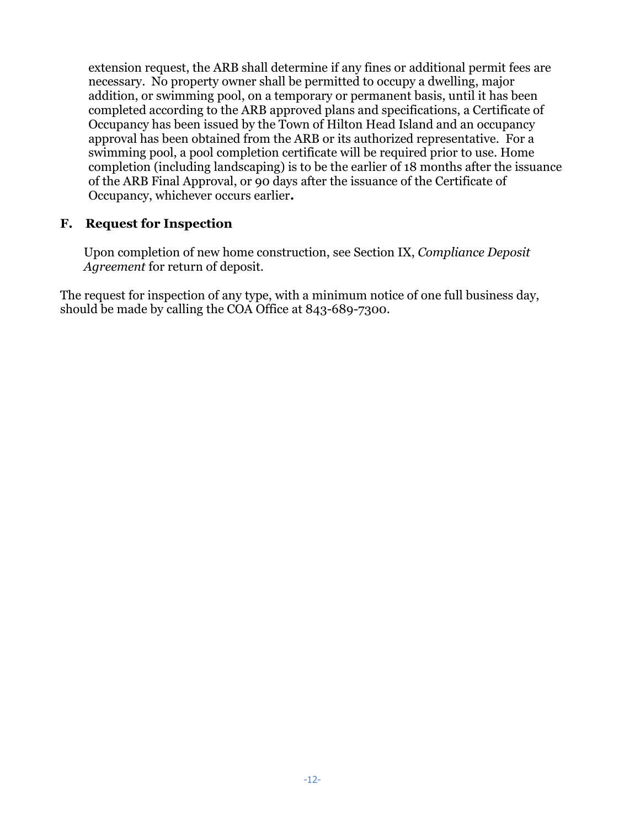extension request, the ARB shall determine if any fines or additional permit fees are necessary. No property owner shall be permitted to occupy a dwelling, major addition, or swimming pool, on a temporary or permanent basis, until it has been completed according to the ARB approved plans and specifications, a Certificate of Occupancy has been issued by the Town of Hilton Head Island and an occupancy approval has been obtained from the ARB or its authorized representative. For a swimming pool, a pool completion certificate will be required prior to use. Home completion (including landscaping) is to be the earlier of 18 months after the issuance of the ARB Final Approval, or 90 days after the issuance of the Certificate of Occupancy, whichever occurs earlier**.**

#### **F. Request for Inspection**

Upon completion of new home construction, see Section IX, *Compliance Deposit Agreement* for return of deposit.

The request for inspection of any type, with a minimum notice of one full business day, should be made by calling the COA Office at 843-689-7300.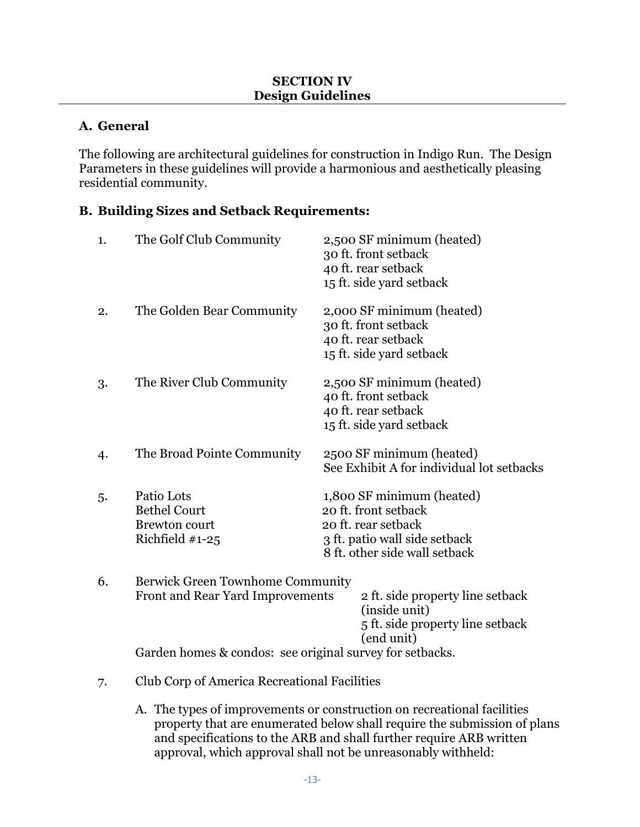## **A. General**

The following are architectural guidelines for construction in Indigo Run. The Design Parameters in these guidelines will provide a harmonious and aesthetically pleasing residential community.

## **B. Building Sizes and Setback Requirements:**

| 1. | The Golf Club Community                                                                                                          | 2,500 SF minimum (heated)<br>30 ft. front setback<br>40 ft. rear setback<br>15 ft. side yard setback                                       |
|----|----------------------------------------------------------------------------------------------------------------------------------|--------------------------------------------------------------------------------------------------------------------------------------------|
| 2. | The Golden Bear Community                                                                                                        | 2,000 SF minimum (heated)<br>30 ft. front setback<br>40 ft. rear setback<br>15 ft. side yard setback                                       |
| 3. | The River Club Community                                                                                                         | 2,500 SF minimum (heated)<br>40 ft. front setback<br>40 ft. rear setback<br>15 ft. side yard setback                                       |
| 4. | The Broad Pointe Community                                                                                                       | 2500 SF minimum (heated)<br>See Exhibit A for individual lot setbacks                                                                      |
| 5. | Patio Lots<br><b>Bethel Court</b><br><b>Brewton court</b><br>Richfield $#1-25$                                                   | 1,800 SF minimum (heated)<br>20 ft. front setback<br>20 ft. rear setback<br>3 ft. patio wall side setback<br>8 ft. other side wall setback |
| 6. | Berwick Green Townhome Community<br>Front and Rear Yard Improvements<br>Garden homes & condos: see original survey for setbacks. | 2 ft. side property line setback<br>(inside unit)<br>5 ft. side property line setback<br>(end unit)                                        |
| 7. | <b>Club Corp of America Recreational Facilities</b>                                                                              |                                                                                                                                            |

A. The types of improvements or construction on recreational facilities property that are enumerated below shall require the submission of plans and specifications to the ARB and shall further require ARB written approval, which approval shall not be unreasonably withheld: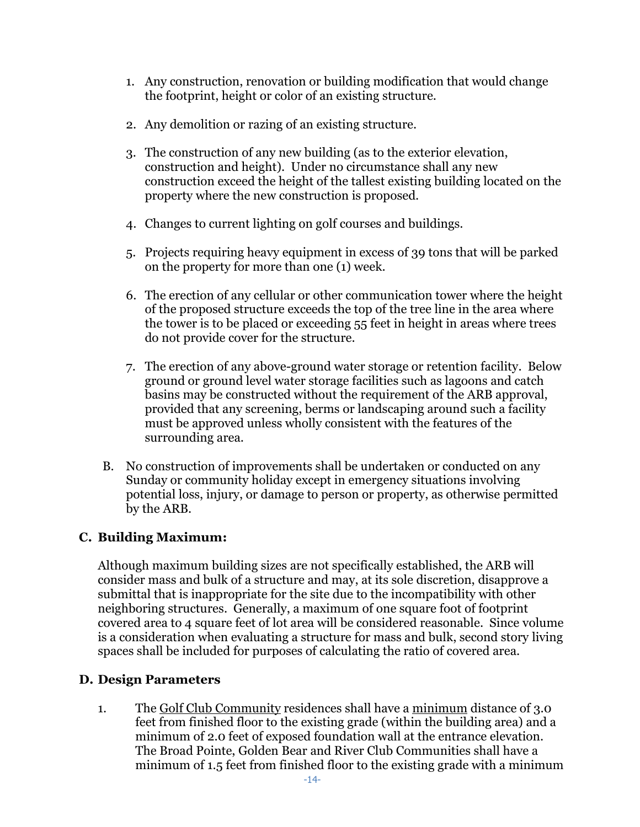- 1. Any construction, renovation or building modification that would change the footprint, height or color of an existing structure.
- 2. Any demolition or razing of an existing structure.
- 3. The construction of any new building (as to the exterior elevation, construction and height). Under no circumstance shall any new construction exceed the height of the tallest existing building located on the property where the new construction is proposed.
- 4. Changes to current lighting on golf courses and buildings.
- 5. Projects requiring heavy equipment in excess of 39 tons that will be parked on the property for more than one (1) week.
- 6. The erection of any cellular or other communication tower where the height of the proposed structure exceeds the top of the tree line in the area where the tower is to be placed or exceeding 55 feet in height in areas where trees do not provide cover for the structure.
- 7. The erection of any above-ground water storage or retention facility. Below ground or ground level water storage facilities such as lagoons and catch basins may be constructed without the requirement of the ARB approval, provided that any screening, berms or landscaping around such a facility must be approved unless wholly consistent with the features of the surrounding area.
- B. No construction of improvements shall be undertaken or conducted on any Sunday or community holiday except in emergency situations involving potential loss, injury, or damage to person or property, as otherwise permitted by the ARB.

## **C. Building Maximum:**

Although maximum building sizes are not specifically established, the ARB will consider mass and bulk of a structure and may, at its sole discretion, disapprove a submittal that is inappropriate for the site due to the incompatibility with other neighboring structures. Generally, a maximum of one square foot of footprint covered area to 4 square feet of lot area will be considered reasonable. Since volume is a consideration when evaluating a structure for mass and bulk, second story living spaces shall be included for purposes of calculating the ratio of covered area.

## **D. Design Parameters**

1. The Golf Club Community residences shall have a minimum distance of 3.0 feet from finished floor to the existing grade (within the building area) and a minimum of 2.0 feet of exposed foundation wall at the entrance elevation. The Broad Pointe, Golden Bear and River Club Communities shall have a minimum of 1.5 feet from finished floor to the existing grade with a minimum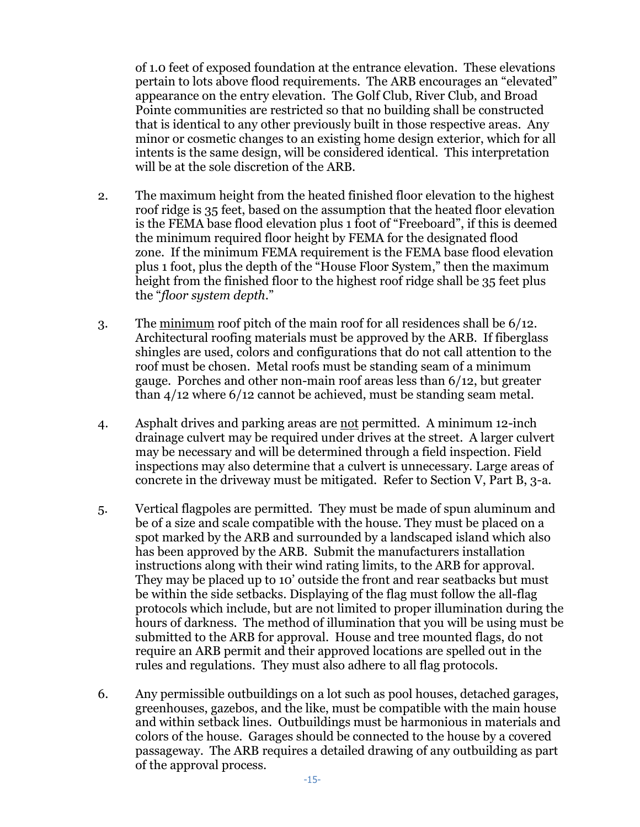of 1.0 feet of exposed foundation at the entrance elevation. These elevations pertain to lots above flood requirements. The ARB encourages an "elevated" appearance on the entry elevation. The Golf Club, River Club, and Broad Pointe communities are restricted so that no building shall be constructed that is identical to any other previously built in those respective areas. Any minor or cosmetic changes to an existing home design exterior, which for all intents is the same design, will be considered identical. This interpretation will be at the sole discretion of the ARB.

- 2. The maximum height from the heated finished floor elevation to the highest roof ridge is 35 feet, based on the assumption that the heated floor elevation is the FEMA base flood elevation plus 1 foot of "Freeboard", if this is deemed the minimum required floor height by FEMA for the designated flood zone. If the minimum FEMA requirement is the FEMA base flood elevation plus 1 foot, plus the depth of the "House Floor System," then the maximum height from the finished floor to the highest roof ridge shall be 35 feet plus the "*floor system depth*."
- 3. The minimum roof pitch of the main roof for all residences shall be 6/12. Architectural roofing materials must be approved by the ARB. If fiberglass shingles are used, colors and configurations that do not call attention to the roof must be chosen. Metal roofs must be standing seam of a minimum gauge. Porches and other non-main roof areas less than 6/12, but greater than 4/12 where 6/12 cannot be achieved, must be standing seam metal.
- 4. Asphalt drives and parking areas are not permitted. A minimum 12-inch drainage culvert may be required under drives at the street. A larger culvert may be necessary and will be determined through a field inspection. Field inspections may also determine that a culvert is unnecessary. Large areas of concrete in the driveway must be mitigated. Refer to Section V, Part B, 3-a.
- 5. Vertical flagpoles are permitted. They must be made of spun aluminum and be of a size and scale compatible with the house. They must be placed on a spot marked by the ARB and surrounded by a landscaped island which also has been approved by the ARB. Submit the manufacturers installation instructions along with their wind rating limits, to the ARB for approval. They may be placed up to 10' outside the front and rear seatbacks but must be within the side setbacks. Displaying of the flag must follow the all-flag protocols which include, but are not limited to proper illumination during the hours of darkness. The method of illumination that you will be using must be submitted to the ARB for approval. House and tree mounted flags, do not require an ARB permit and their approved locations are spelled out in the rules and regulations. They must also adhere to all flag protocols.
- 6. Any permissible outbuildings on a lot such as pool houses, detached garages, greenhouses, gazebos, and the like, must be compatible with the main house and within setback lines. Outbuildings must be harmonious in materials and colors of the house. Garages should be connected to the house by a covered passageway. The ARB requires a detailed drawing of any outbuilding as part of the approval process.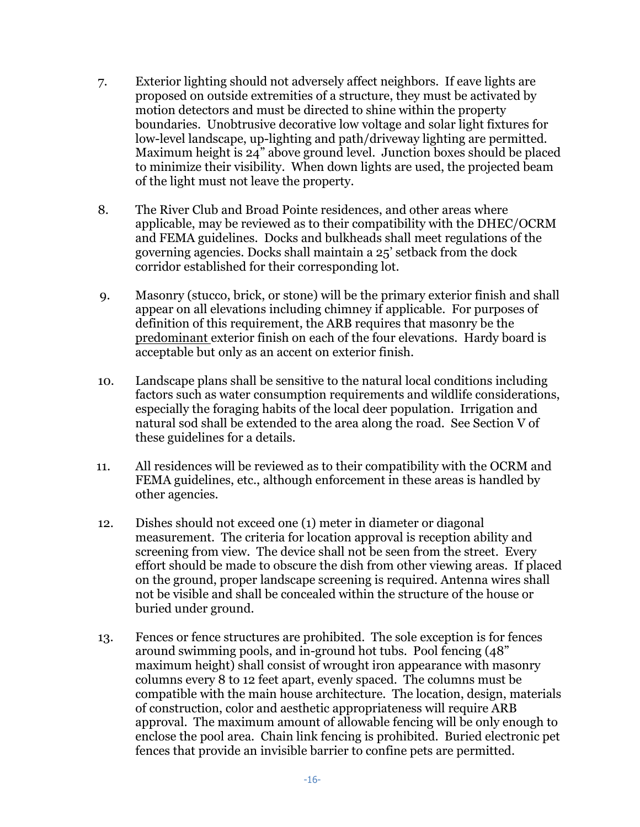- 7. Exterior lighting should not adversely affect neighbors. If eave lights are proposed on outside extremities of a structure, they must be activated by motion detectors and must be directed to shine within the property boundaries. Unobtrusive decorative low voltage and solar light fixtures for low-level landscape, up-lighting and path/driveway lighting are permitted. Maximum height is 24" above ground level. Junction boxes should be placed to minimize their visibility. When down lights are used, the projected beam of the light must not leave the property.
- 8. The River Club and Broad Pointe residences, and other areas where applicable, may be reviewed as to their compatibility with the DHEC/OCRM and FEMA guidelines. Docks and bulkheads shall meet regulations of the governing agencies. Docks shall maintain a 25' setback from the dock corridor established for their corresponding lot.
- 9. Masonry (stucco, brick, or stone) will be the primary exterior finish and shall appear on all elevations including chimney if applicable. For purposes of definition of this requirement, the ARB requires that masonry be the predominant exterior finish on each of the four elevations. Hardy board is acceptable but only as an accent on exterior finish.
- 10. Landscape plans shall be sensitive to the natural local conditions including factors such as water consumption requirements and wildlife considerations, especially the foraging habits of the local deer population. Irrigation and natural sod shall be extended to the area along the road. See Section V of these guidelines for a details.
- 11. All residences will be reviewed as to their compatibility with the OCRM and FEMA guidelines, etc., although enforcement in these areas is handled by other agencies.
- 12. Dishes should not exceed one (1) meter in diameter or diagonal measurement. The criteria for location approval is reception ability and screening from view. The device shall not be seen from the street. Every effort should be made to obscure the dish from other viewing areas. If placed on the ground, proper landscape screening is required. Antenna wires shall not be visible and shall be concealed within the structure of the house or buried under ground.
- 13. Fences or fence structures are prohibited. The sole exception is for fences around swimming pools, and in-ground hot tubs. Pool fencing (48" maximum height) shall consist of wrought iron appearance with masonry columns every 8 to 12 feet apart, evenly spaced. The columns must be compatible with the main house architecture. The location, design, materials of construction, color and aesthetic appropriateness will require ARB approval. The maximum amount of allowable fencing will be only enough to enclose the pool area. Chain link fencing is prohibited. Buried electronic pet fences that provide an invisible barrier to confine pets are permitted.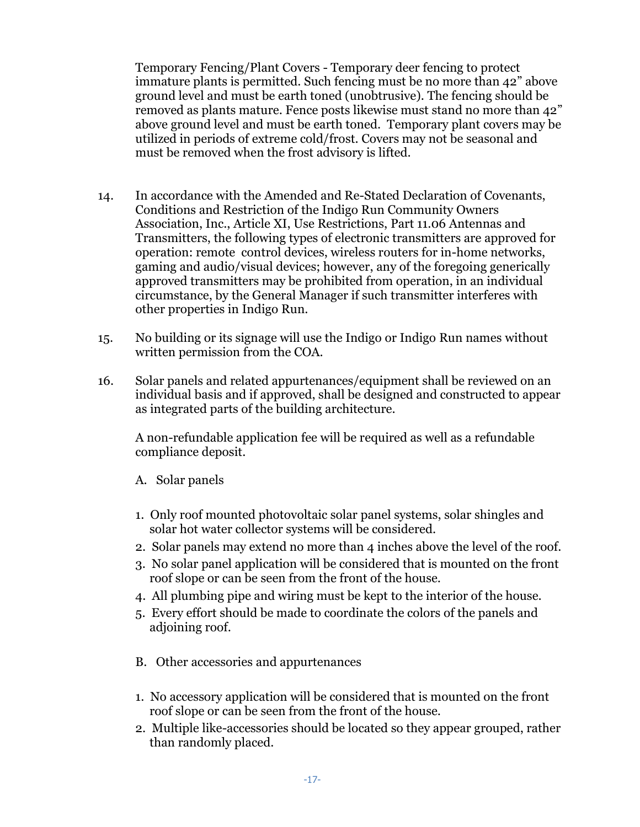Temporary Fencing/Plant Covers - Temporary deer fencing to protect immature plants is permitted. Such fencing must be no more than 42" above ground level and must be earth toned (unobtrusive). The fencing should be removed as plants mature. Fence posts likewise must stand no more than 42" above ground level and must be earth toned. Temporary plant covers may be utilized in periods of extreme cold/frost. Covers may not be seasonal and must be removed when the frost advisory is lifted.

- 14. In accordance with the Amended and Re-Stated Declaration of Covenants, Conditions and Restriction of the Indigo Run Community Owners Association, Inc., Article XI, Use Restrictions, Part 11.06 Antennas and Transmitters, the following types of electronic transmitters are approved for operation: remote control devices, wireless routers for in-home networks, gaming and audio/visual devices; however, any of the foregoing generically approved transmitters may be prohibited from operation, in an individual circumstance, by the General Manager if such transmitter interferes with other properties in Indigo Run.
- 15. No building or its signage will use the Indigo or Indigo Run names without written permission from the COA.
- 16. Solar panels and related appurtenances/equipment shall be reviewed on an individual basis and if approved, shall be designed and constructed to appear as integrated parts of the building architecture.

A non-refundable application fee will be required as well as a refundable compliance deposit.

- A. Solar panels
- 1. Only roof mounted photovoltaic solar panel systems, solar shingles and solar hot water collector systems will be considered.
- 2. Solar panels may extend no more than 4 inches above the level of the roof.
- 3. No solar panel application will be considered that is mounted on the front roof slope or can be seen from the front of the house.
- 4. All plumbing pipe and wiring must be kept to the interior of the house.
- 5. Every effort should be made to coordinate the colors of the panels and adjoining roof.
- B. Other accessories and appurtenances
- 1. No accessory application will be considered that is mounted on the front roof slope or can be seen from the front of the house.
- 2. Multiple like-accessories should be located so they appear grouped, rather than randomly placed.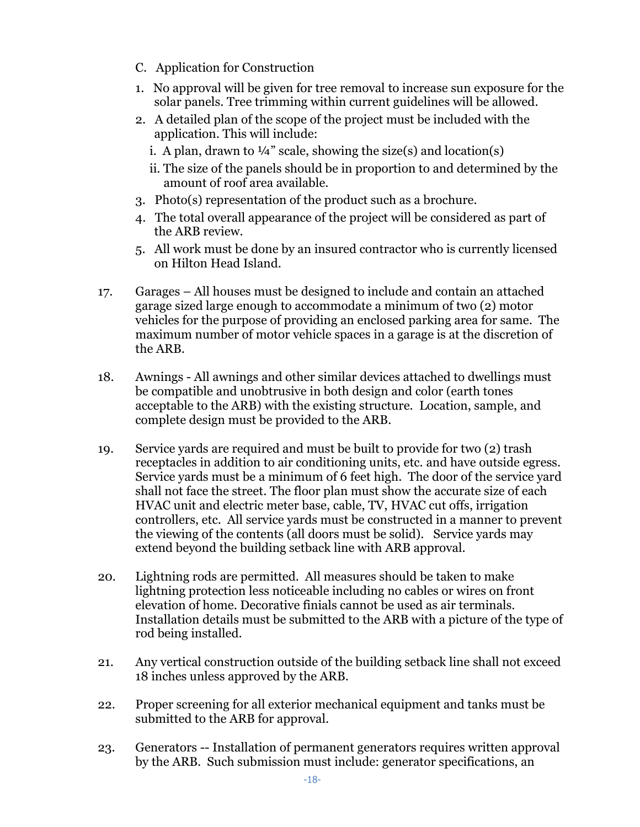- C. Application for Construction
- 1. No approval will be given for tree removal to increase sun exposure for the solar panels. Tree trimming within current guidelines will be allowed.
- 2. A detailed plan of the scope of the project must be included with the application. This will include:
	- i. A plan, drawn to  $\frac{1}{4}$ " scale, showing the size(s) and location(s)
	- ii. The size of the panels should be in proportion to and determined by the amount of roof area available.
- 3. Photo(s) representation of the product such as a brochure.
- 4. The total overall appearance of the project will be considered as part of the ARB review.
- 5. All work must be done by an insured contractor who is currently licensed on Hilton Head Island.
- 17. Garages All houses must be designed to include and contain an attached garage sized large enough to accommodate a minimum of two (2) motor vehicles for the purpose of providing an enclosed parking area for same. The maximum number of motor vehicle spaces in a garage is at the discretion of the ARB.
- 18. Awnings All awnings and other similar devices attached to dwellings must be compatible and unobtrusive in both design and color (earth tones acceptable to the ARB) with the existing structure. Location, sample, and complete design must be provided to the ARB.
- 19. Service yards are required and must be built to provide for two (2) trash receptacles in addition to air conditioning units, etc. and have outside egress. Service yards must be a minimum of 6 feet high. The door of the service yard shall not face the street. The floor plan must show the accurate size of each HVAC unit and electric meter base, cable, TV, HVAC cut offs, irrigation controllers, etc. All service yards must be constructed in a manner to prevent the viewing of the contents (all doors must be solid). Service yards may extend beyond the building setback line with ARB approval.
- 20. Lightning rods are permitted. All measures should be taken to make lightning protection less noticeable including no cables or wires on front elevation of home. Decorative finials cannot be used as air terminals. Installation details must be submitted to the ARB with a picture of the type of rod being installed.
- 21. Any vertical construction outside of the building setback line shall not exceed 18 inches unless approved by the ARB.
- 22. Proper screening for all exterior mechanical equipment and tanks must be submitted to the ARB for approval.
- 23. Generators -- Installation of permanent generators requires written approval by the ARB. Such submission must include: generator specifications, an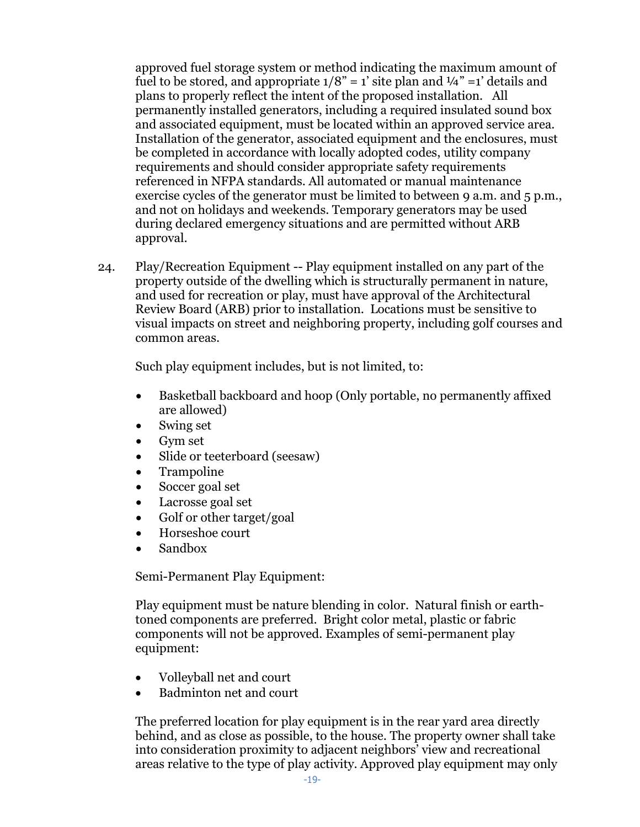approved fuel storage system or method indicating the maximum amount of fuel to be stored, and appropriate  $1/8$ " = 1' site plan and  $\frac{1}{4}$ " = 1' details and plans to properly reflect the intent of the proposed installation. All permanently installed generators, including a required insulated sound box and associated equipment, must be located within an approved service area. Installation of the generator, associated equipment and the enclosures, must be completed in accordance with locally adopted codes, utility company requirements and should consider appropriate safety requirements referenced in NFPA standards. All automated or manual maintenance exercise cycles of the generator must be limited to between 9 a.m. and 5 p.m., and not on holidays and weekends. Temporary generators may be used during declared emergency situations and are permitted without ARB approval.

24. Play/Recreation Equipment -- Play equipment installed on any part of the property outside of the dwelling which is structurally permanent in nature, and used for recreation or play, must have approval of the Architectural Review Board (ARB) prior to installation. Locations must be sensitive to visual impacts on street and neighboring property, including golf courses and common areas.

Such play equipment includes, but is not limited, to:

- Basketball backboard and hoop (Only portable, no permanently affixed are allowed)
- Swing set
- Gym set
- Slide or teeterboard (seesaw)
- Trampoline
- Soccer goal set
- Lacrosse goal set
- Golf or other target/goal
- Horseshoe court
- Sandbox

Semi-Permanent Play Equipment:

Play equipment must be nature blending in color. Natural finish or earthtoned components are preferred. Bright color metal, plastic or fabric components will not be approved. Examples of semi-permanent play equipment:

- Volleyball net and court
- Badminton net and court

The preferred location for play equipment is in the rear yard area directly behind, and as close as possible, to the house. The property owner shall take into consideration proximity to adjacent neighbors' view and recreational areas relative to the type of play activity. Approved play equipment may only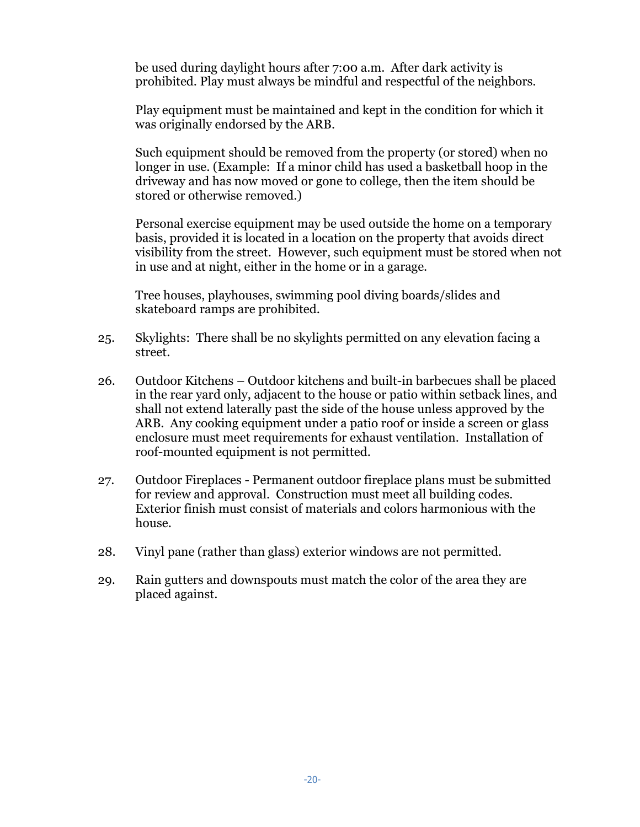be used during daylight hours after 7:00 a.m. After dark activity is prohibited. Play must always be mindful and respectful of the neighbors.

Play equipment must be maintained and kept in the condition for which it was originally endorsed by the ARB.

Such equipment should be removed from the property (or stored) when no longer in use. (Example: If a minor child has used a basketball hoop in the driveway and has now moved or gone to college, then the item should be stored or otherwise removed.)

Personal exercise equipment may be used outside the home on a temporary basis, provided it is located in a location on the property that avoids direct visibility from the street. However, such equipment must be stored when not in use and at night, either in the home or in a garage.

Tree houses, playhouses, swimming pool diving boards/slides and skateboard ramps are prohibited.

- 25. Skylights: There shall be no skylights permitted on any elevation facing a street.
- 26. Outdoor Kitchens Outdoor kitchens and built-in barbecues shall be placed in the rear yard only, adjacent to the house or patio within setback lines, and shall not extend laterally past the side of the house unless approved by the ARB. Any cooking equipment under a patio roof or inside a screen or glass enclosure must meet requirements for exhaust ventilation. Installation of roof-mounted equipment is not permitted.
- 27. Outdoor Fireplaces Permanent outdoor fireplace plans must be submitted for review and approval. Construction must meet all building codes. Exterior finish must consist of materials and colors harmonious with the house.
- 28. Vinyl pane (rather than glass) exterior windows are not permitted.
- 29. Rain gutters and downspouts must match the color of the area they are placed against.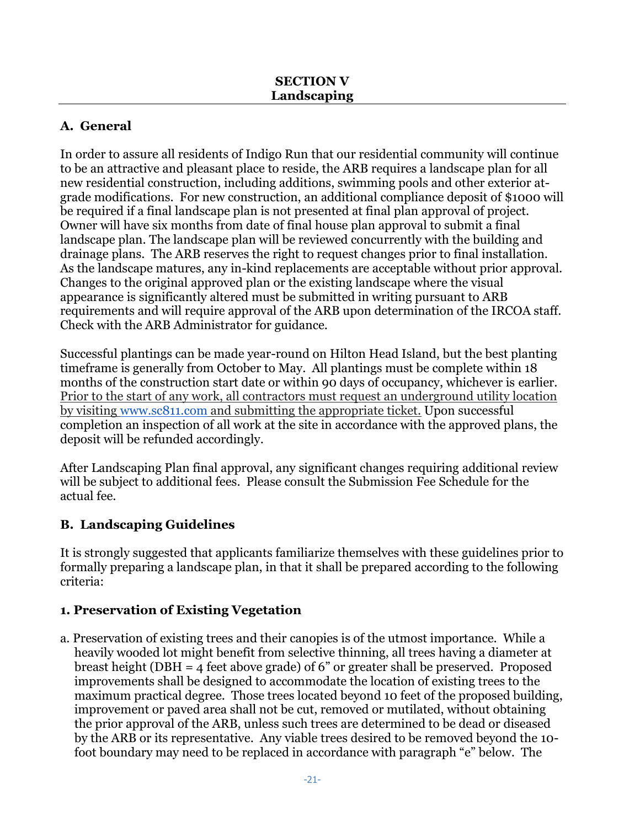# **A. General**

In order to assure all residents of Indigo Run that our residential community will continue to be an attractive and pleasant place to reside, the ARB requires a landscape plan for all new residential construction, including additions, swimming pools and other exterior atgrade modifications. For new construction, an additional compliance deposit of \$1000 will be required if a final landscape plan is not presented at final plan approval of project. Owner will have six months from date of final house plan approval to submit a final landscape plan. The landscape plan will be reviewed concurrently with the building and drainage plans. The ARB reserves the right to request changes prior to final installation. As the landscape matures, any in-kind replacements are acceptable without prior approval. Changes to the original approved plan or the existing landscape where the visual appearance is significantly altered must be submitted in writing pursuant to ARB requirements and will require approval of the ARB upon determination of the IRCOA staff. Check with the ARB Administrator for guidance.

Successful plantings can be made year-round on Hilton Head Island, but the best planting timeframe is generally from October to May. All plantings must be complete within 18 months of the construction start date or within 90 days of occupancy, whichever is earlier. Prior to the start of any work, all contractors must request an underground utility location by visiting [www.sc811.com](http://www.sc811.com/) and submitting the appropriate ticket. Upon successful completion an inspection of all work at the site in accordance with the approved plans, the deposit will be refunded accordingly.

After Landscaping Plan final approval, any significant changes requiring additional review will be subject to additional fees. Please consult the Submission Fee Schedule for the actual fee.

# **B. Landscaping Guidelines**

It is strongly suggested that applicants familiarize themselves with these guidelines prior to formally preparing a landscape plan, in that it shall be prepared according to the following criteria:

# **1. Preservation of Existing Vegetation**

a. Preservation of existing trees and their canopies is of the utmost importance. While a heavily wooded lot might benefit from selective thinning, all trees having a diameter at breast height (DBH = 4 feet above grade) of 6" or greater shall be preserved. Proposed improvements shall be designed to accommodate the location of existing trees to the maximum practical degree. Those trees located beyond 10 feet of the proposed building, improvement or paved area shall not be cut, removed or mutilated, without obtaining the prior approval of the ARB, unless such trees are determined to be dead or diseased by the ARB or its representative. Any viable trees desired to be removed beyond the 10 foot boundary may need to be replaced in accordance with paragraph "e" below. The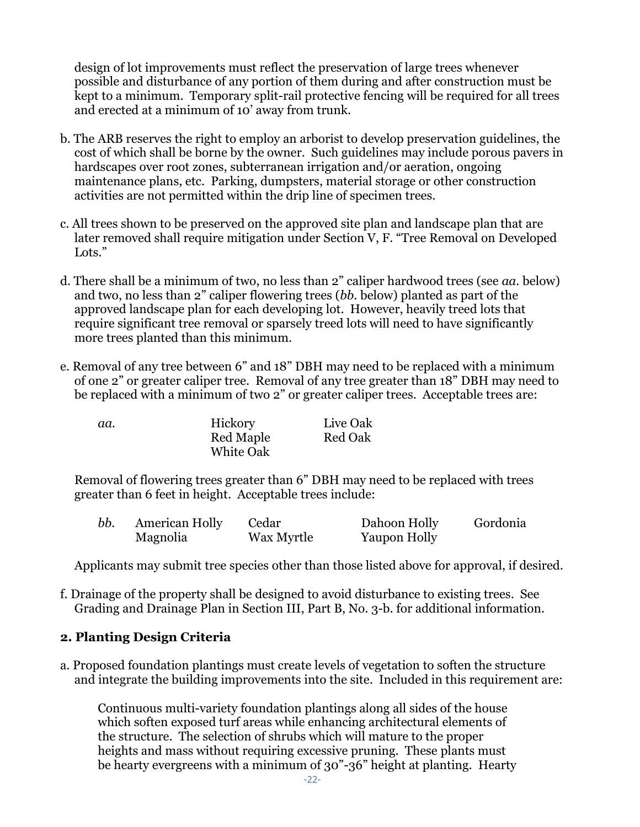design of lot improvements must reflect the preservation of large trees whenever possible and disturbance of any portion of them during and after construction must be kept to a minimum. Temporary split-rail protective fencing will be required for all trees and erected at a minimum of 10' away from trunk.

- b. The ARB reserves the right to employ an arborist to develop preservation guidelines, the cost of which shall be borne by the owner. Such guidelines may include porous pavers in hardscapes over root zones, subterranean irrigation and/or aeration, ongoing maintenance plans, etc. Parking, dumpsters, material storage or other construction activities are not permitted within the drip line of specimen trees.
- c. All trees shown to be preserved on the approved site plan and landscape plan that are later removed shall require mitigation under Section V, F. "Tree Removal on Developed Lots."
- d. There shall be a minimum of two, no less than 2" caliper hardwood trees (see *aa.* below) and two, no less than 2" caliper flowering trees (*bb*. below) planted as part of the approved landscape plan for each developing lot. However, heavily treed lots that require significant tree removal or sparsely treed lots will need to have significantly more trees planted than this minimum.
- e. Removal of any tree between 6" and 18" DBH may need to be replaced with a minimum of one 2" or greater caliper tree. Removal of any tree greater than 18" DBH may need to be replaced with a minimum of two 2" or greater caliper trees. Acceptable trees are:

| aa. | Hickory          | Live Oak       |
|-----|------------------|----------------|
|     | Red Maple        | <b>Red Oak</b> |
|     | <b>White Oak</b> |                |

Removal of flowering trees greater than 6" DBH may need to be replaced with trees greater than 6 feet in height. Acceptable trees include:

| bb. | <b>American Holly</b> | Cedar      | Dahoon Holly | Gordonia |
|-----|-----------------------|------------|--------------|----------|
|     | Magnolia              | Wax Myrtle | Yaupon Holly |          |

Applicants may submit tree species other than those listed above for approval, if desired.

f. Drainage of the property shall be designed to avoid disturbance to existing trees. See Grading and Drainage Plan in Section III, Part B, No. 3-b. for additional information.

# **2. Planting Design Criteria**

a. Proposed foundation plantings must create levels of vegetation to soften the structure and integrate the building improvements into the site. Included in this requirement are:

Continuous multi-variety foundation plantings along all sides of the house which soften exposed turf areas while enhancing architectural elements of the structure. The selection of shrubs which will mature to the proper heights and mass without requiring excessive pruning. These plants must be hearty evergreens with a minimum of 30"-36" height at planting. Hearty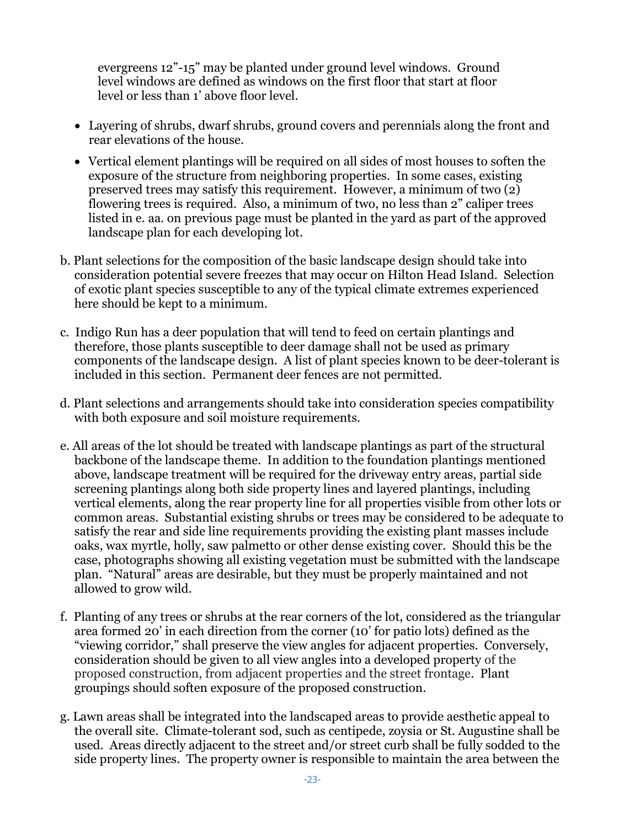evergreens 12"-15" may be planted under ground level windows. Ground level windows are defined as windows on the first floor that start at floor level or less than 1' above floor level.

- Layering of shrubs, dwarf shrubs, ground covers and perennials along the front and rear elevations of the house.
- Vertical element plantings will be required on all sides of most houses to soften the exposure of the structure from neighboring properties. In some cases, existing preserved trees may satisfy this requirement. However, a minimum of two (2) flowering trees is required. Also, a minimum of two, no less than 2" caliper trees listed in e. aa. on previous page must be planted in the yard as part of the approved landscape plan for each developing lot.
- b. Plant selections for the composition of the basic landscape design should take into consideration potential severe freezes that may occur on Hilton Head Island. Selection of exotic plant species susceptible to any of the typical climate extremes experienced here should be kept to a minimum.
- c. Indigo Run has a deer population that will tend to feed on certain plantings and therefore, those plants susceptible to deer damage shall not be used as primary components of the landscape design. A list of plant species known to be deer-tolerant is included in this section. Permanent deer fences are not permitted.
- d. Plant selections and arrangements should take into consideration species compatibility with both exposure and soil moisture requirements.
- e. All areas of the lot should be treated with landscape plantings as part of the structural backbone of the landscape theme. In addition to the foundation plantings mentioned above, landscape treatment will be required for the driveway entry areas, partial side screening plantings along both side property lines and layered plantings, including vertical elements, along the rear property line for all properties visible from other lots or common areas. Substantial existing shrubs or trees may be considered to be adequate to satisfy the rear and side line requirements providing the existing plant masses include oaks, wax myrtle, holly, saw palmetto or other dense existing cover. Should this be the case, photographs showing all existing vegetation must be submitted with the landscape plan. "Natural" areas are desirable, but they must be properly maintained and not allowed to grow wild.
- f. Planting of any trees or shrubs at the rear corners of the lot, considered as the triangular area formed 20' in each direction from the corner (10' for patio lots) defined as the "viewing corridor," shall preserve the view angles for adjacent properties. Conversely, consideration should be given to all view angles into a developed property of the proposed construction, from adjacent properties and the street frontage. Plant groupings should soften exposure of the proposed construction.
- g. Lawn areas shall be integrated into the landscaped areas to provide aesthetic appeal to the overall site. Climate-tolerant sod, such as centipede, zoysia or St. Augustine shall be used. Areas directly adjacent to the street and/or street curb shall be fully sodded to the side property lines. The property owner is responsible to maintain the area between the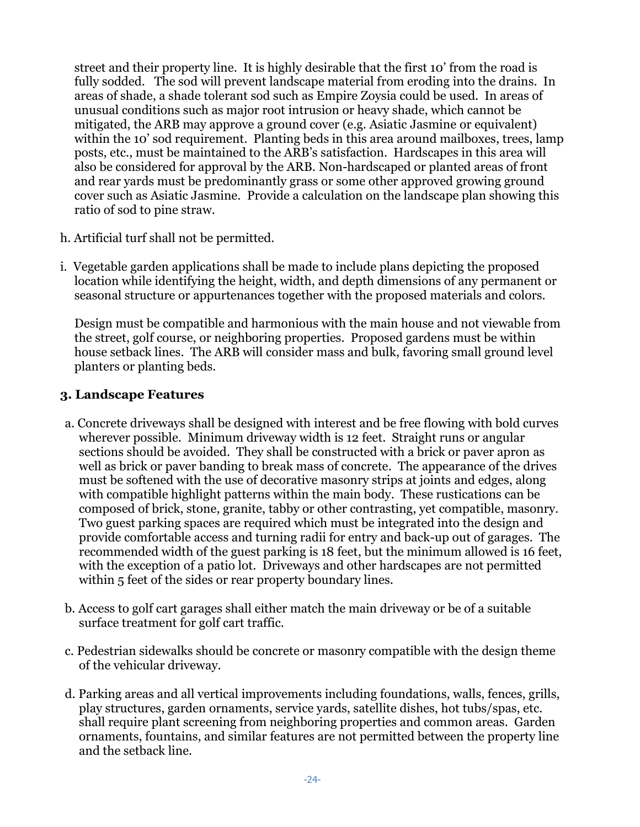street and their property line. It is highly desirable that the first 10' from the road is fully sodded. The sod will prevent landscape material from eroding into the drains. In areas of shade, a shade tolerant sod such as Empire Zoysia could be used. In areas of unusual conditions such as major root intrusion or heavy shade, which cannot be mitigated, the ARB may approve a ground cover (e.g. Asiatic Jasmine or equivalent) within the 10' sod requirement. Planting beds in this area around mailboxes, trees, lamp posts, etc., must be maintained to the ARB's satisfaction. Hardscapes in this area will also be considered for approval by the ARB. Non-hardscaped or planted areas of front and rear yards must be predominantly grass or some other approved growing ground cover such as Asiatic Jasmine. Provide a calculation on the landscape plan showing this ratio of sod to pine straw.

- h. Artificial turf shall not be permitted.
- i. Vegetable garden applications shall be made to include plans depicting the proposed location while identifying the height, width, and depth dimensions of any permanent or seasonal structure or appurtenances together with the proposed materials and colors.

Design must be compatible and harmonious with the main house and not viewable from the street, golf course, or neighboring properties. Proposed gardens must be within house setback lines. The ARB will consider mass and bulk, favoring small ground level planters or planting beds.

## **3. Landscape Features**

- a. Concrete driveways shall be designed with interest and be free flowing with bold curves wherever possible. Minimum driveway width is 12 feet. Straight runs or angular sections should be avoided. They shall be constructed with a brick or paver apron as well as brick or paver banding to break mass of concrete. The appearance of the drives must be softened with the use of decorative masonry strips at joints and edges, along with compatible highlight patterns within the main body. These rustications can be composed of brick, stone, granite, tabby or other contrasting, yet compatible, masonry. Two guest parking spaces are required which must be integrated into the design and provide comfortable access and turning radii for entry and back-up out of garages. The recommended width of the guest parking is 18 feet, but the minimum allowed is 16 feet, with the exception of a patio lot. Driveways and other hardscapes are not permitted within 5 feet of the sides or rear property boundary lines.
- b. Access to golf cart garages shall either match the main driveway or be of a suitable surface treatment for golf cart traffic.
- c. Pedestrian sidewalks should be concrete or masonry compatible with the design theme of the vehicular driveway.
- d. Parking areas and all vertical improvements including foundations, walls, fences, grills, play structures, garden ornaments, service yards, satellite dishes, hot tubs/spas, etc. shall require plant screening from neighboring properties and common areas. Garden ornaments, fountains, and similar features are not permitted between the property line and the setback line.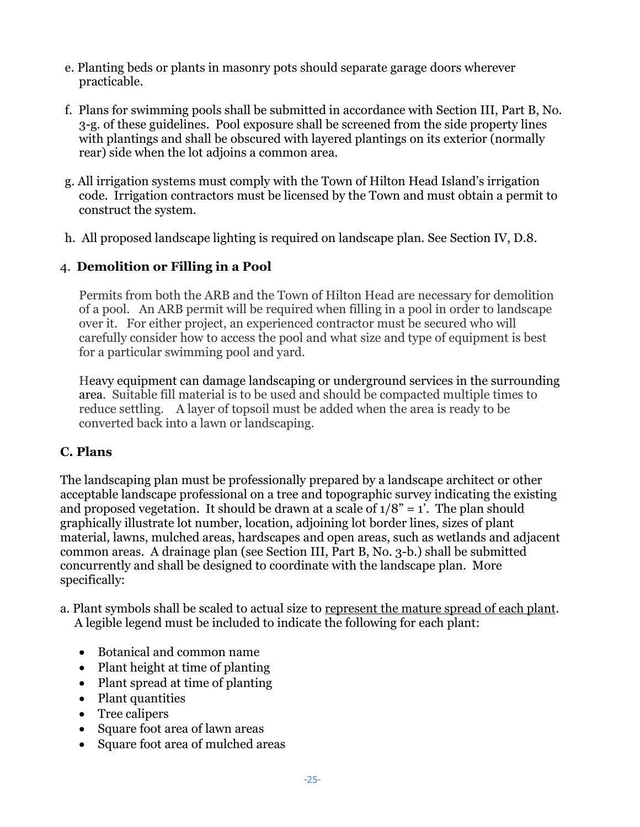- e. Planting beds or plants in masonry pots should separate garage doors wherever practicable.
- f. Plans for swimming pools shall be submitted in accordance with Section III, Part B, No. 3-g. of these guidelines. Pool exposure shall be screened from the side property lines with plantings and shall be obscured with layered plantings on its exterior (normally rear) side when the lot adjoins a common area.
- g. All irrigation systems must comply with the Town of Hilton Head Island's irrigation code. Irrigation contractors must be licensed by the Town and must obtain a permit to construct the system.
- h. All proposed landscape lighting is required on landscape plan. See Section IV, D.8.

## 4. **Demolition or Filling in a Pool**

Permits from both the ARB and the Town of Hilton Head are necessary for demolition of a pool. An ARB permit will be required when filling in a pool in order to landscape over it. For either project, an experienced contractor must be secured who will carefully consider how to access the pool and what size and type of equipment is best for a particular swimming pool and yard.

Heavy equipment can damage landscaping or underground services in the surrounding area. Suitable fill material is to be used and should be compacted multiple times to reduce settling. A layer of topsoil must be added when the area is ready to be converted back into a lawn or landscaping.

## **C. Plans**

The landscaping plan must be professionally prepared by a landscape architect or other acceptable landscape professional on a tree and topographic survey indicating the existing and proposed vegetation. It should be drawn at a scale of  $1/8$ " = 1'. The plan should graphically illustrate lot number, location, adjoining lot border lines, sizes of plant material, lawns, mulched areas, hardscapes and open areas, such as wetlands and adjacent common areas. A drainage plan (see Section III, Part B, No. 3-b.) shall be submitted concurrently and shall be designed to coordinate with the landscape plan. More specifically:

- a. Plant symbols shall be scaled to actual size to represent the mature spread of each plant. A legible legend must be included to indicate the following for each plant:
	- Botanical and common name
	- Plant height at time of planting
	- Plant spread at time of planting
	- Plant quantities
	- Tree calipers
	- Square foot area of lawn areas
	- Square foot area of mulched areas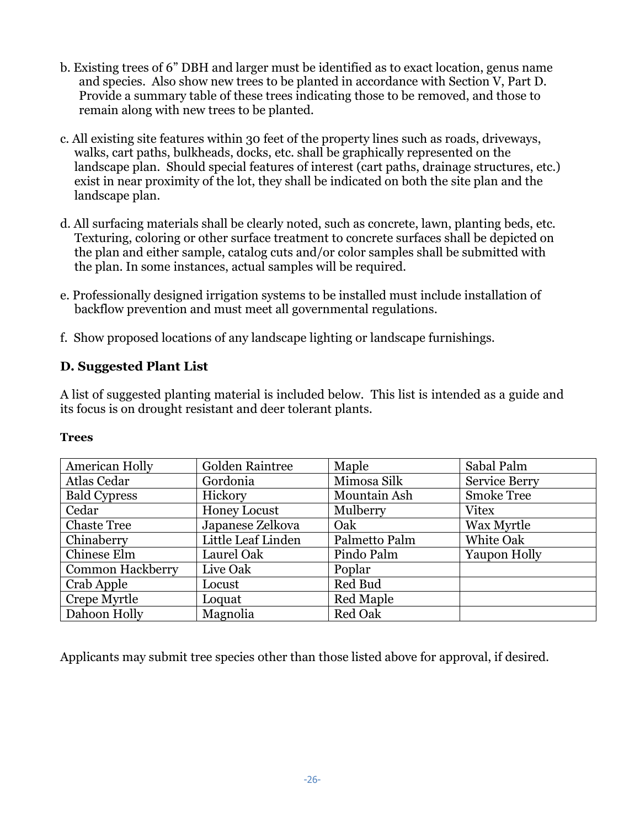- b. Existing trees of 6" DBH and larger must be identified as to exact location, genus name and species. Also show new trees to be planted in accordance with Section V, Part D. Provide a summary table of these trees indicating those to be removed, and those to remain along with new trees to be planted.
- c. All existing site features within 30 feet of the property lines such as roads, driveways, walks, cart paths, bulkheads, docks, etc. shall be graphically represented on the landscape plan. Should special features of interest (cart paths, drainage structures, etc.) exist in near proximity of the lot, they shall be indicated on both the site plan and the landscape plan.
- d. All surfacing materials shall be clearly noted, such as concrete, lawn, planting beds, etc. Texturing, coloring or other surface treatment to concrete surfaces shall be depicted on the plan and either sample, catalog cuts and/or color samples shall be submitted with the plan. In some instances, actual samples will be required.
- e. Professionally designed irrigation systems to be installed must include installation of backflow prevention and must meet all governmental regulations.
- f. Show proposed locations of any landscape lighting or landscape furnishings.

## **D. Suggested Plant List**

A list of suggested planting material is included below. This list is intended as a guide and its focus is on drought resistant and deer tolerant plants.

| American Holly      | Golden Raintree     | Maple            | Sabal Palm           |
|---------------------|---------------------|------------------|----------------------|
| Atlas Cedar         | Gordonia            | Mimosa Silk      | <b>Service Berry</b> |
| <b>Bald Cypress</b> | Hickory             | Mountain Ash     | <b>Smoke Tree</b>    |
| Cedar               | <b>Honey Locust</b> | Mulberry         | <b>Vitex</b>         |
| <b>Chaste Tree</b>  | Japanese Zelkova    | Oak              | Wax Myrtle           |
| Chinaberry          | Little Leaf Linden  | Palmetto Palm    | White Oak            |
| Chinese Elm         | Laurel Oak          | Pindo Palm       | Yaupon Holly         |
| Common Hackberry    | Live Oak            | Poplar           |                      |
| Crab Apple          | Locust              | Red Bud          |                      |
| Crepe Myrtle        | Loquat              | <b>Red Maple</b> |                      |
| Dahoon Holly        | Magnolia            | <b>Red Oak</b>   |                      |

#### **Trees**

Applicants may submit tree species other than those listed above for approval, if desired.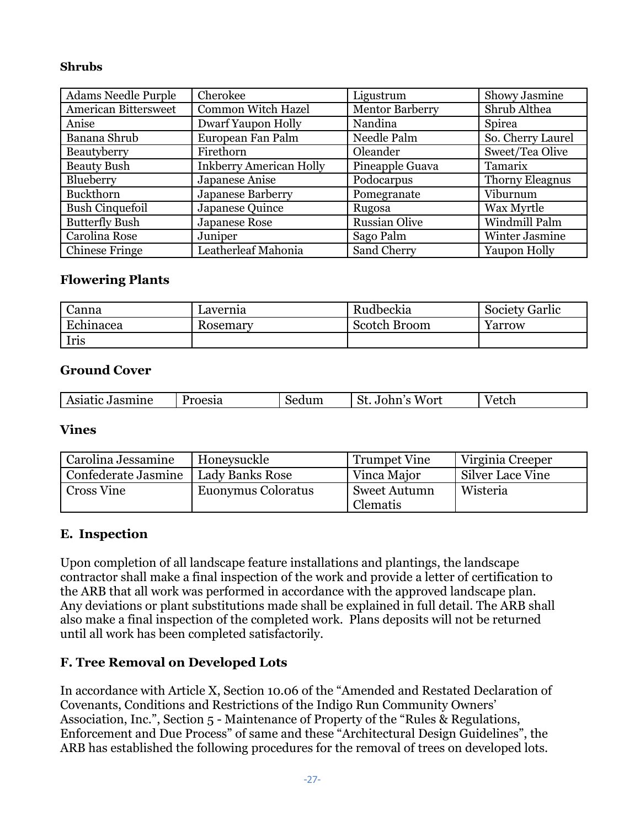#### **Shrubs**

| <b>Adams Needle Purple</b>  | Cherokee                       | Ligustrum              | Showy Jasmine          |
|-----------------------------|--------------------------------|------------------------|------------------------|
| <b>American Bittersweet</b> | <b>Common Witch Hazel</b>      | <b>Mentor Barberry</b> | Shrub Althea           |
| Anise                       | <b>Dwarf Yaupon Holly</b>      | Nandina                | Spirea                 |
| Banana Shrub                | European Fan Palm              | Needle Palm            | So. Cherry Laurel      |
| Beautyberry                 | Firethorn                      | Oleander               | Sweet/Tea Olive        |
| <b>Beauty Bush</b>          | <b>Inkberry American Holly</b> | Pineapple Guava        | Tamarix                |
| Blueberry                   | Japanese Anise                 | Podocarpus             | <b>Thorny Eleagnus</b> |
| Buckthorn                   | Japanese Barberry              | Pomegranate            | Viburnum               |
| <b>Bush Cinquefoil</b>      | Japanese Quince                | Rugosa                 | Wax Myrtle             |
| <b>Butterfly Bush</b>       | Japanese Rose                  | <b>Russian Olive</b>   | Windmill Palm          |
| Carolina Rose               | Juniper                        | Sago Palm              | Winter Jasmine         |
| <b>Chinese Fringe</b>       | Leatherleaf Mahonia            | Sand Cherry            | Yaupon Holly           |

#### **Flowering Plants**

| Canna     | Lavernia | Rudbeckia    | <b>Society Garlic</b> |
|-----------|----------|--------------|-----------------------|
| Echinacea | Rosemary | Scotch Broom | Yarrow                |
| Iris      |          |              |                       |

#### **Ground Cover**

| : Jasmine<br>Proesia<br>Wort<br>. $\sim$ + $\sim$ $\sim$<br>Sedum<br>Asiatic<br>John<br>″ CLU⊥<br>wı.<br>ັ |
|------------------------------------------------------------------------------------------------------------|
|------------------------------------------------------------------------------------------------------------|

#### **Vines**

| Carolina Jessamine  | Honeysuckle        | <b>Trumpet Vine</b>      | Virginia Creeper |
|---------------------|--------------------|--------------------------|------------------|
| Confederate Jasmine | Lady Banks Rose    | Vinca Major              | Silver Lace Vine |
| <b>Cross Vine</b>   | Euonymus Coloratus | Sweet Autumn<br>Clematis | Wisteria         |

#### **E. Inspection**

Upon completion of all landscape feature installations and plantings, the landscape contractor shall make a final inspection of the work and provide a letter of certification to the ARB that all work was performed in accordance with the approved landscape plan. Any deviations or plant substitutions made shall be explained in full detail. The ARB shall also make a final inspection of the completed work. Plans deposits will not be returned until all work has been completed satisfactorily.

#### **F. Tree Removal on Developed Lots**

In accordance with Article X, Section 10.06 of the "Amended and Restated Declaration of Covenants, Conditions and Restrictions of the Indigo Run Community Owners' Association, Inc.", Section 5 - Maintenance of Property of the "Rules & Regulations, Enforcement and Due Process" of same and these "Architectural Design Guidelines", the ARB has established the following procedures for the removal of trees on developed lots.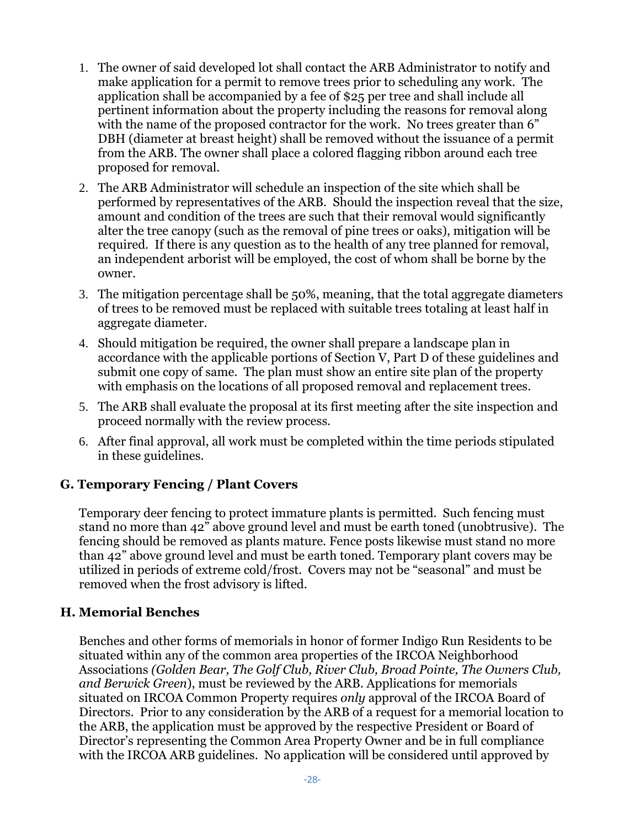- 1. The owner of said developed lot shall contact the ARB Administrator to notify and make application for a permit to remove trees prior to scheduling any work. The application shall be accompanied by a fee of \$25 per tree and shall include all pertinent information about the property including the reasons for removal along with the name of the proposed contractor for the work. No trees greater than 6" DBH (diameter at breast height) shall be removed without the issuance of a permit from the ARB. The owner shall place a colored flagging ribbon around each tree proposed for removal.
- 2. The ARB Administrator will schedule an inspection of the site which shall be performed by representatives of the ARB. Should the inspection reveal that the size, amount and condition of the trees are such that their removal would significantly alter the tree canopy (such as the removal of pine trees or oaks), mitigation will be required. If there is any question as to the health of any tree planned for removal, an independent arborist will be employed, the cost of whom shall be borne by the owner.
- 3. The mitigation percentage shall be 50%, meaning, that the total aggregate diameters of trees to be removed must be replaced with suitable trees totaling at least half in aggregate diameter.
- 4. Should mitigation be required, the owner shall prepare a landscape plan in accordance with the applicable portions of Section V, Part D of these guidelines and submit one copy of same. The plan must show an entire site plan of the property with emphasis on the locations of all proposed removal and replacement trees.
- 5. The ARB shall evaluate the proposal at its first meeting after the site inspection and proceed normally with the review process.
- 6. After final approval, all work must be completed within the time periods stipulated in these guidelines.

# **G. Temporary Fencing / Plant Covers**

Temporary deer fencing to protect immature plants is permitted. Such fencing must stand no more than 42" above ground level and must be earth toned (unobtrusive). The fencing should be removed as plants mature. Fence posts likewise must stand no more than 42" above ground level and must be earth toned. Temporary plant covers may be utilized in periods of extreme cold/frost. Covers may not be "seasonal" and must be removed when the frost advisory is lifted.

## **H. Memorial Benches**

Benches and other forms of memorials in honor of former Indigo Run Residents to be situated within any of the common area properties of the IRCOA Neighborhood Associations *(Golden Bear, The Golf Club, River Club, Broad Pointe, The Owners Club, and Berwick Green*), must be reviewed by the ARB. Applications for memorials situated on IRCOA Common Property requires *only* approval of the IRCOA Board of Directors. Prior to any consideration by the ARB of a request for a memorial location to the ARB, the application must be approved by the respective President or Board of Director's representing the Common Area Property Owner and be in full compliance with the IRCOA ARB guidelines. No application will be considered until approved by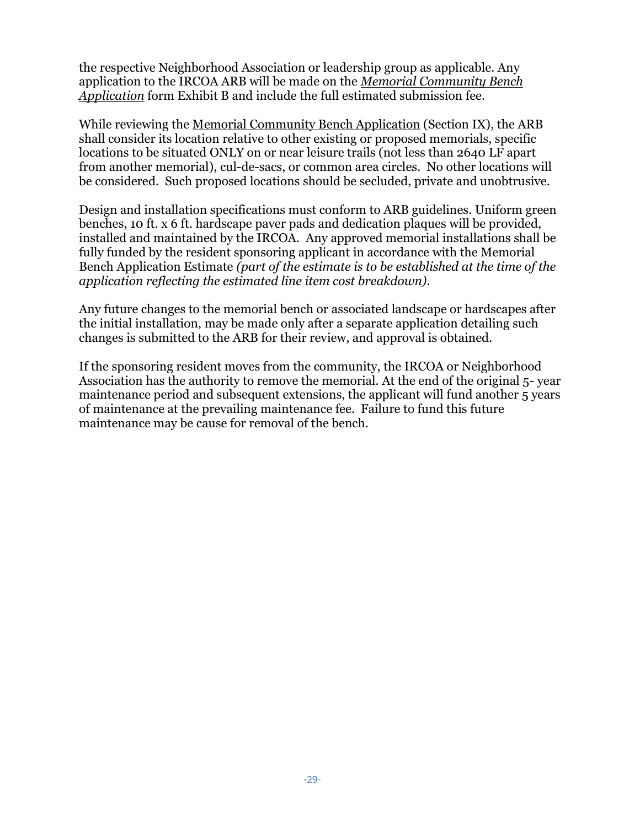the respective Neighborhood Association or leadership group as applicable. Any application to the IRCOA ARB will be made on the *Memorial Community Bench Application* form Exhibit B and include the full estimated submission fee.

While reviewing the Memorial Community Bench Application (Section IX), the ARB shall consider its location relative to other existing or proposed memorials, specific locations to be situated ONLY on or near leisure trails (not less than 2640 LF apart from another memorial), cul-de-sacs, or common area circles. No other locations will be considered. Such proposed locations should be secluded, private and unobtrusive.

Design and installation specifications must conform to ARB guidelines. Uniform green benches, 10 ft. x 6 ft. hardscape paver pads and dedication plaques will be provided, installed and maintained by the IRCOA. Any approved memorial installations shall be fully funded by the resident sponsoring applicant in accordance with the Memorial Bench Application Estimate *(part of the estimate is to be established at the time of the application reflecting the estimated line item cost breakdown).*

Any future changes to the memorial bench or associated landscape or hardscapes after the initial installation, may be made only after a separate application detailing such changes is submitted to the ARB for their review, and approval is obtained.

If the sponsoring resident moves from the community, the IRCOA or Neighborhood Association has the authority to remove the memorial. At the end of the original 5- year maintenance period and subsequent extensions, the applicant will fund another 5 years of maintenance at the prevailing maintenance fee. Failure to fund this future maintenance may be cause for removal of the bench.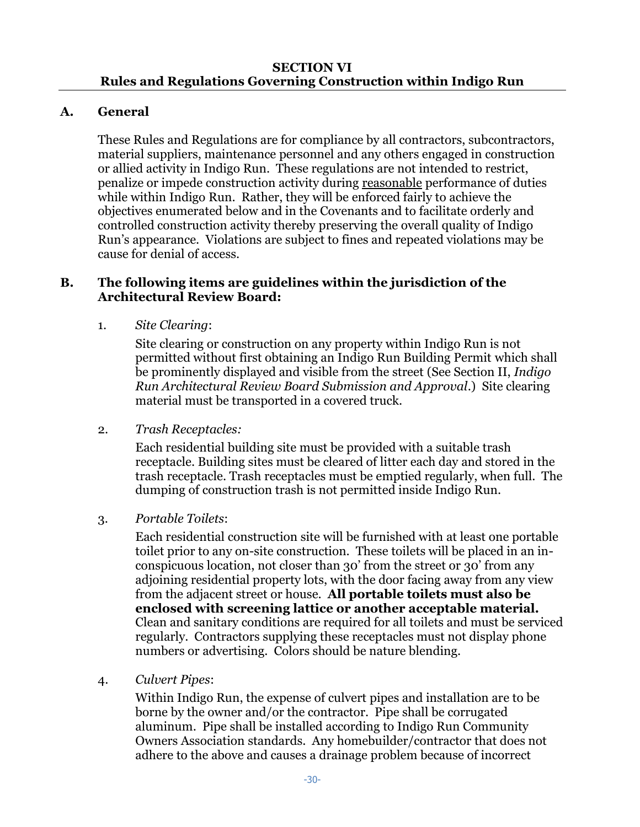## **A. General**

These Rules and Regulations are for compliance by all contractors, subcontractors, material suppliers, maintenance personnel and any others engaged in construction or allied activity in Indigo Run. These regulations are not intended to restrict, penalize or impede construction activity during reasonable performance of duties while within Indigo Run. Rather, they will be enforced fairly to achieve the objectives enumerated below and in the Covenants and to facilitate orderly and controlled construction activity thereby preserving the overall quality of Indigo Run's appearance. Violations are subject to fines and repeated violations may be cause for denial of access.

#### **B. The following items are guidelines within the jurisdiction of the Architectural Review Board:**

1. *Site Clearing*:

Site clearing or construction on any property within Indigo Run is not permitted without first obtaining an Indigo Run Building Permit which shall be prominently displayed and visible from the street (See Section II, *Indigo Run Architectural Review Board Submission and Approval*.) Site clearing material must be transported in a covered truck.

2. *Trash Receptacles:*

Each residential building site must be provided with a suitable trash receptacle. Building sites must be cleared of litter each day and stored in the trash receptacle. Trash receptacles must be emptied regularly, when full. The dumping of construction trash is not permitted inside Indigo Run.

3. *Portable Toilets*:

Each residential construction site will be furnished with at least one portable toilet prior to any on-site construction. These toilets will be placed in an inconspicuous location, not closer than 30' from the street or 30' from any adjoining residential property lots, with the door facing away from any view from the adjacent street or house. **All portable toilets must also be enclosed with screening lattice or another acceptable material.** Clean and sanitary conditions are required for all toilets and must be serviced regularly. Contractors supplying these receptacles must not display phone numbers or advertising. Colors should be nature blending.

4. *Culvert Pipes*:

Within Indigo Run, the expense of culvert pipes and installation are to be borne by the owner and/or the contractor. Pipe shall be corrugated aluminum. Pipe shall be installed according to Indigo Run Community Owners Association standards. Any homebuilder/contractor that does not adhere to the above and causes a drainage problem because of incorrect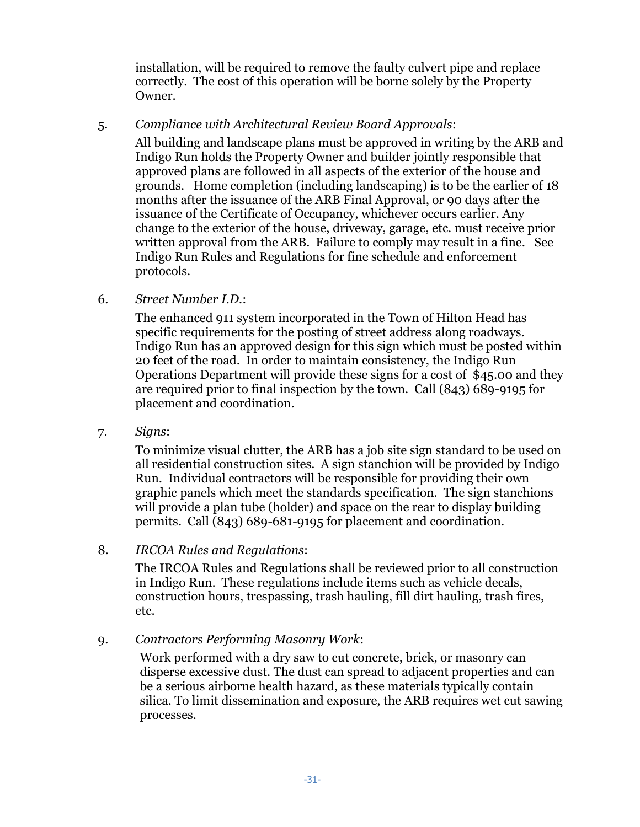installation, will be required to remove the faulty culvert pipe and replace correctly. The cost of this operation will be borne solely by the Property Owner.

#### 5. *Compliance with Architectural Review Board Approvals*:

All building and landscape plans must be approved in writing by the ARB and Indigo Run holds the Property Owner and builder jointly responsible that approved plans are followed in all aspects of the exterior of the house and grounds. Home completion (including landscaping) is to be the earlier of 18 months after the issuance of the ARB Final Approval, or 90 days after the issuance of the Certificate of Occupancy, whichever occurs earlier. Any change to the exterior of the house, driveway, garage, etc. must receive prior written approval from the ARB. Failure to comply may result in a fine. See Indigo Run Rules and Regulations for fine schedule and enforcement protocols.

#### 6. *Street Number I.D.*:

The enhanced 911 system incorporated in the Town of Hilton Head has specific requirements for the posting of street address along roadways. Indigo Run has an approved design for this sign which must be posted within 20 feet of the road. In order to maintain consistency, the Indigo Run Operations Department will provide these signs for a cost of \$45.00 and they are required prior to final inspection by the town. Call (843) 689-9195 for placement and coordination.

#### 7. *Signs*:

To minimize visual clutter, the ARB has a job site sign standard to be used on all residential construction sites. A sign stanchion will be provided by Indigo Run. Individual contractors will be responsible for providing their own graphic panels which meet the standards specification. The sign stanchions will provide a plan tube (holder) and space on the rear to display building permits. Call (843) 689-681-9195 for placement and coordination.

#### 8. *IRCOA Rules and Regulations*:

The IRCOA Rules and Regulations shall be reviewed prior to all construction in Indigo Run. These regulations include items such as vehicle decals, construction hours, trespassing, trash hauling, fill dirt hauling, trash fires, etc.

## 9. *Contractors Performing Masonry Work*:

Work performed with a dry saw to cut concrete, brick, or masonry can disperse excessive dust. The dust can spread to adjacent properties and can be a serious airborne health hazard, as these materials typically contain silica. To limit dissemination and exposure, the ARB requires wet cut sawing processes.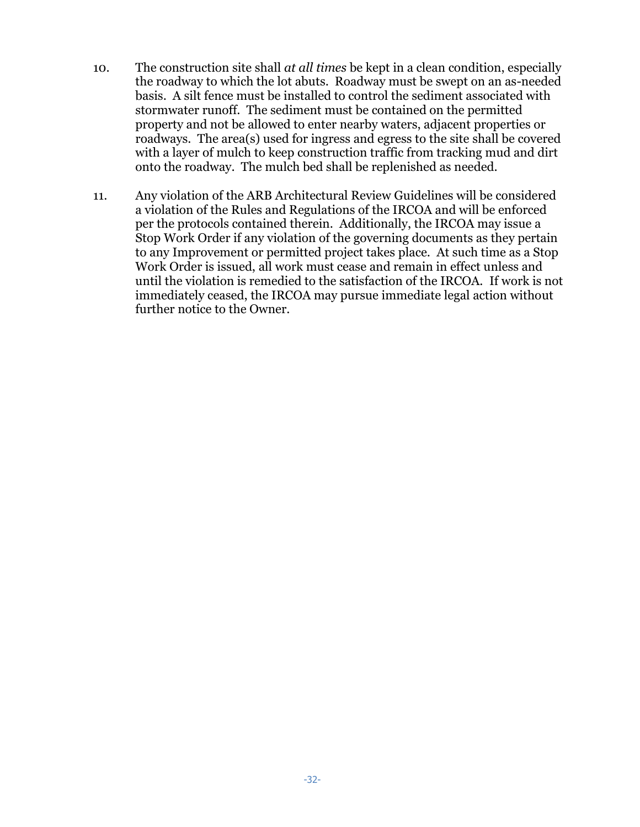- 10. The construction site shall *at all times* be kept in a clean condition, especially the roadway to which the lot abuts. Roadway must be swept on an as-needed basis. A silt fence must be installed to control the sediment associated with stormwater runoff. The sediment must be contained on the permitted property and not be allowed to enter nearby waters, adjacent properties or roadways. The area(s) used for ingress and egress to the site shall be covered with a layer of mulch to keep construction traffic from tracking mud and dirt onto the roadway. The mulch bed shall be replenished as needed.
- 11. Any violation of the ARB Architectural Review Guidelines will be considered a violation of the Rules and Regulations of the IRCOA and will be enforced per the protocols contained therein. Additionally, the IRCOA may issue a Stop Work Order if any violation of the governing documents as they pertain to any Improvement or permitted project takes place. At such time as a Stop Work Order is issued, all work must cease and remain in effect unless and until the violation is remedied to the satisfaction of the IRCOA. If work is not immediately ceased, the IRCOA may pursue immediate legal action without further notice to the Owner.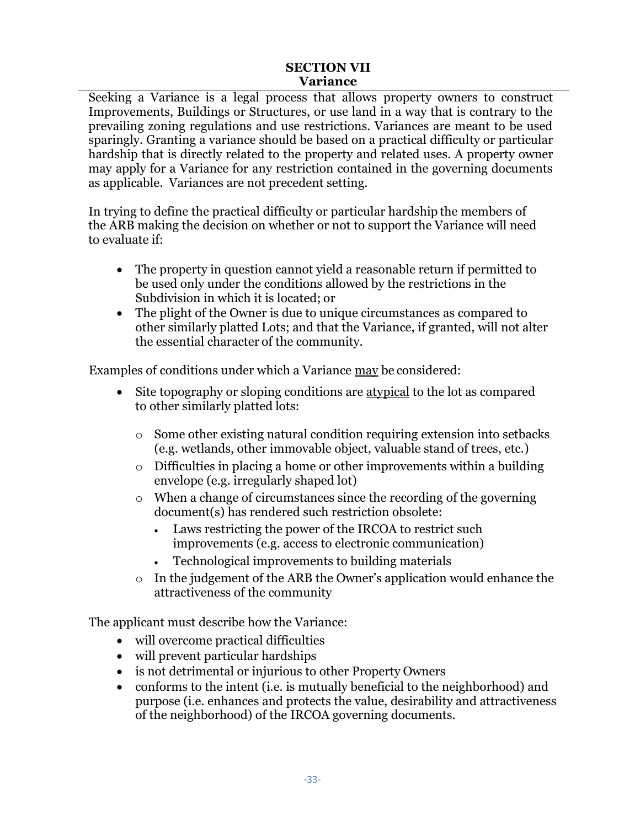#### **SECTION VII Variance**

Seeking a Variance is a legal process that allows property owners to construct Improvements, Buildings or Structures, or use land in a way that is contrary to the prevailing zoning regulations and use restrictions. Variances are meant to be used sparingly. Granting a variance should be based on a practical difficulty or particular hardship that is directly related to the property and related uses. A property owner may apply for a Variance for any restriction contained in the governing documents as applicable. Variances are not precedent setting.

In trying to define the practical difficulty or particular hardship the members of the ARB making the decision on whether or not to support the Variance will need to evaluate if:

- The property in question cannot yield a reasonable return if permitted to be used only under the conditions allowed by the restrictions in the Subdivision in which it is located; or
- The plight of the Owner is due to unique circumstances as compared to other similarly platted Lots; and that the Variance, if granted, will not alter the essential character of the community.

Examples of conditions under which a Variance may be considered:

- Site topography or sloping conditions are atypical to the lot as compared to other similarly platted lots:
	- o Some other existing natural condition requiring extension into setbacks (e.g. wetlands, other immovable object, valuable stand of trees, etc.)
	- o Difficulties in placing a home or other improvements within a building envelope (e.g. irregularly shaped lot)
	- o When a change of circumstances since the recording of the governing document(s) has rendered such restriction obsolete:
		- Laws restricting the power of the IRCOA to restrict such improvements (e.g. access to electronic communication)
		- Technological improvements to building materials
	- o In the judgement of the ARB the Owner's application would enhance the attractiveness of the community

The applicant must describe how the Variance:

- will overcome practical difficulties
- will prevent particular hardships
- is not detrimental or injurious to other Property Owners
- conforms to the intent (i.e. is mutually beneficial to the neighborhood) and purpose (i.e. enhances and protects the value, desirability and attractiveness of the neighborhood) of the IRCOA governing documents.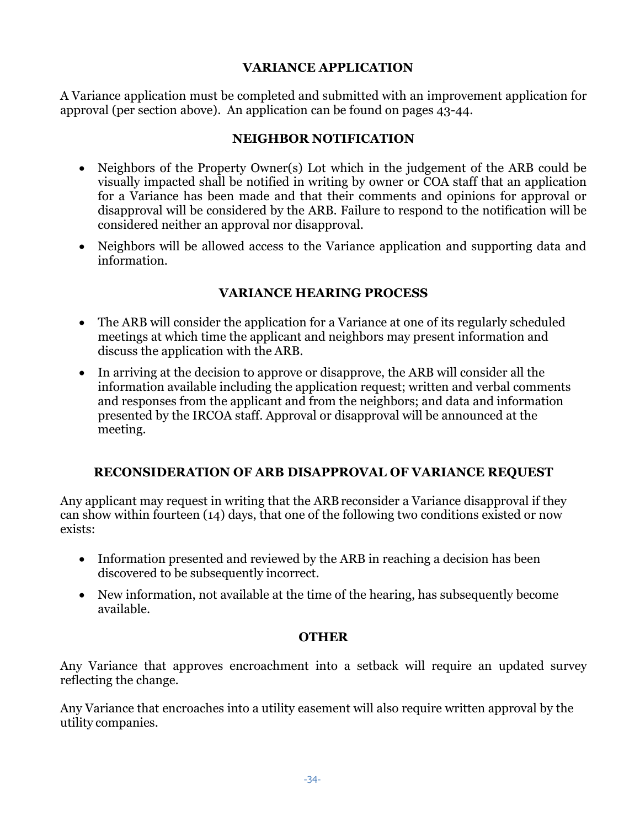#### **VARIANCE APPLICATION**

A Variance application must be completed and submitted with an improvement application for approval (per section above). An application can be found on pages 43-44.

## **NEIGHBOR NOTIFICATION**

- Neighbors of the Property Owner(s) Lot which in the judgement of the ARB could be visually impacted shall be notified in writing by owner or COA staff that an application for a Variance has been made and that their comments and opinions for approval or disapproval will be considered by the ARB. Failure to respond to the notification will be considered neither an approval nor disapproval.
- Neighbors will be allowed access to the Variance application and supporting data and information.

## **VARIANCE HEARING PROCESS**

- The ARB will consider the application for a Variance at one of its regularly scheduled meetings at which time the applicant and neighbors may present information and discuss the application with the ARB.
- In arriving at the decision to approve or disapprove, the ARB will consider all the information available including the application request; written and verbal comments and responses from the applicant and from the neighbors; and data and information presented by the IRCOA staff. Approval or disapproval will be announced at the meeting.

## **RECONSIDERATION OF ARB DISAPPROVAL OF VARIANCE REQUEST**

Any applicant may request in writing that the ARB reconsider a Variance disapproval if they can show within fourteen (14) days, that one of the following two conditions existed or now exists:

- Information presented and reviewed by the ARB in reaching a decision has been discovered to be subsequently incorrect.
- New information, not available at the time of the hearing, has subsequently become available.

#### **OTHER**

Any Variance that approves encroachment into a setback will require an updated survey reflecting the change*.*

Any Variance that encroaches into a utility easement will also require written approval by the utility companies.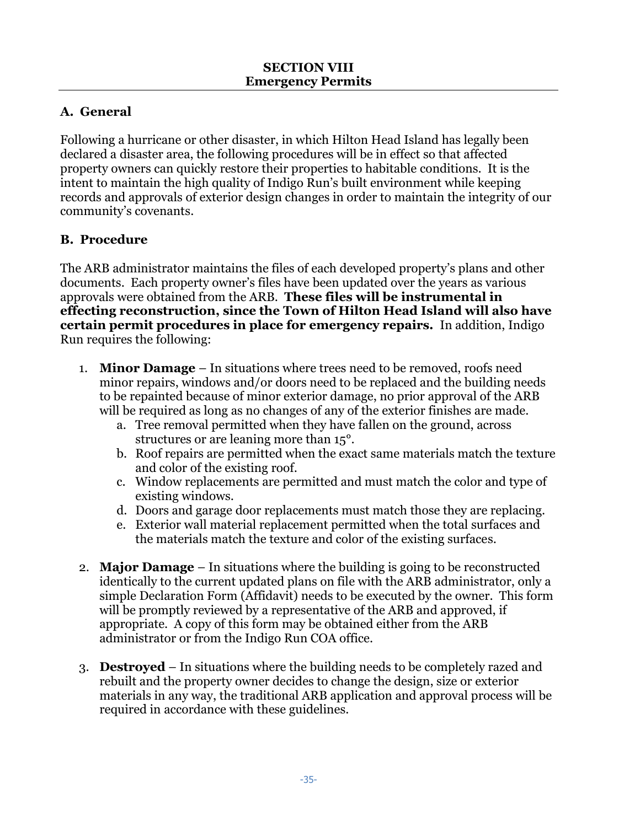# **A. General**

Following a hurricane or other disaster, in which Hilton Head Island has legally been declared a disaster area, the following procedures will be in effect so that affected property owners can quickly restore their properties to habitable conditions. It is the intent to maintain the high quality of Indigo Run's built environment while keeping records and approvals of exterior design changes in order to maintain the integrity of our community's covenants.

# **B. Procedure**

The ARB administrator maintains the files of each developed property's plans and other documents. Each property owner's files have been updated over the years as various approvals were obtained from the ARB. **These files will be instrumental in effecting reconstruction, since the Town of Hilton Head Island will also have certain permit procedures in place for emergency repairs.** In addition, Indigo Run requires the following:

- 1. **Minor Damage** In situations where trees need to be removed, roofs need minor repairs, windows and/or doors need to be replaced and the building needs to be repainted because of minor exterior damage, no prior approval of the ARB will be required as long as no changes of any of the exterior finishes are made.
	- a. Tree removal permitted when they have fallen on the ground, across structures or are leaning more than 15°.
	- b. Roof repairs are permitted when the exact same materials match the texture and color of the existing roof.
	- c. Window replacements are permitted and must match the color and type of existing windows.
	- d. Doors and garage door replacements must match those they are replacing.
	- e. Exterior wall material replacement permitted when the total surfaces and the materials match the texture and color of the existing surfaces.
- 2. **Major Damage** In situations where the building is going to be reconstructed identically to the current updated plans on file with the ARB administrator, only a simple Declaration Form (Affidavit) needs to be executed by the owner. This form will be promptly reviewed by a representative of the ARB and approved, if appropriate. A copy of this form may be obtained either from the ARB administrator or from the Indigo Run COA office.
- 3. **Destroyed** In situations where the building needs to be completely razed and rebuilt and the property owner decides to change the design, size or exterior materials in any way, the traditional ARB application and approval process will be required in accordance with these guidelines.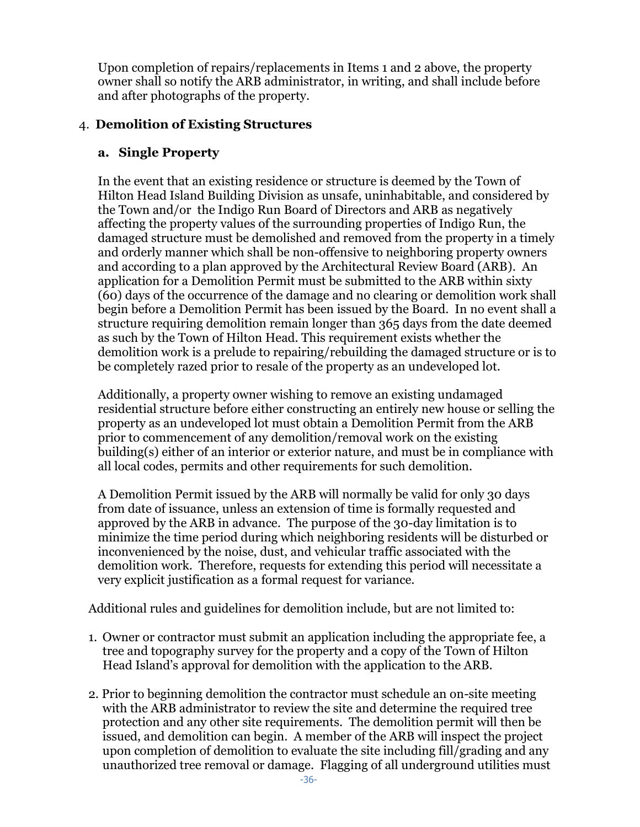Upon completion of repairs/replacements in Items 1 and 2 above, the property owner shall so notify the ARB administrator, in writing, and shall include before and after photographs of the property.

#### 4. **Demolition of Existing Structures**

#### **a. Single Property**

In the event that an existing residence or structure is deemed by the Town of Hilton Head Island Building Division as unsafe, uninhabitable, and considered by the Town and/or the Indigo Run Board of Directors and ARB as negatively affecting the property values of the surrounding properties of Indigo Run, the damaged structure must be demolished and removed from the property in a timely and orderly manner which shall be non-offensive to neighboring property owners and according to a plan approved by the Architectural Review Board (ARB). An application for a Demolition Permit must be submitted to the ARB within sixty (60) days of the occurrence of the damage and no clearing or demolition work shall begin before a Demolition Permit has been issued by the Board. In no event shall a structure requiring demolition remain longer than 365 days from the date deemed as such by the Town of Hilton Head. This requirement exists whether the demolition work is a prelude to repairing/rebuilding the damaged structure or is to be completely razed prior to resale of the property as an undeveloped lot.

Additionally, a property owner wishing to remove an existing undamaged residential structure before either constructing an entirely new house or selling the property as an undeveloped lot must obtain a Demolition Permit from the ARB prior to commencement of any demolition/removal work on the existing building(s) either of an interior or exterior nature, and must be in compliance with all local codes, permits and other requirements for such demolition.

A Demolition Permit issued by the ARB will normally be valid for only 30 days from date of issuance, unless an extension of time is formally requested and approved by the ARB in advance. The purpose of the 30-day limitation is to minimize the time period during which neighboring residents will be disturbed or inconvenienced by the noise, dust, and vehicular traffic associated with the demolition work. Therefore, requests for extending this period will necessitate a very explicit justification as a formal request for variance.

Additional rules and guidelines for demolition include, but are not limited to:

- 1. Owner or contractor must submit an application including the appropriate fee, a tree and topography survey for the property and a copy of the Town of Hilton Head Island's approval for demolition with the application to the ARB.
- 2. Prior to beginning demolition the contractor must schedule an on-site meeting with the ARB administrator to review the site and determine the required tree protection and any other site requirements. The demolition permit will then be issued, and demolition can begin. A member of the ARB will inspect the project upon completion of demolition to evaluate the site including fill/grading and any unauthorized tree removal or damage. Flagging of all underground utilities must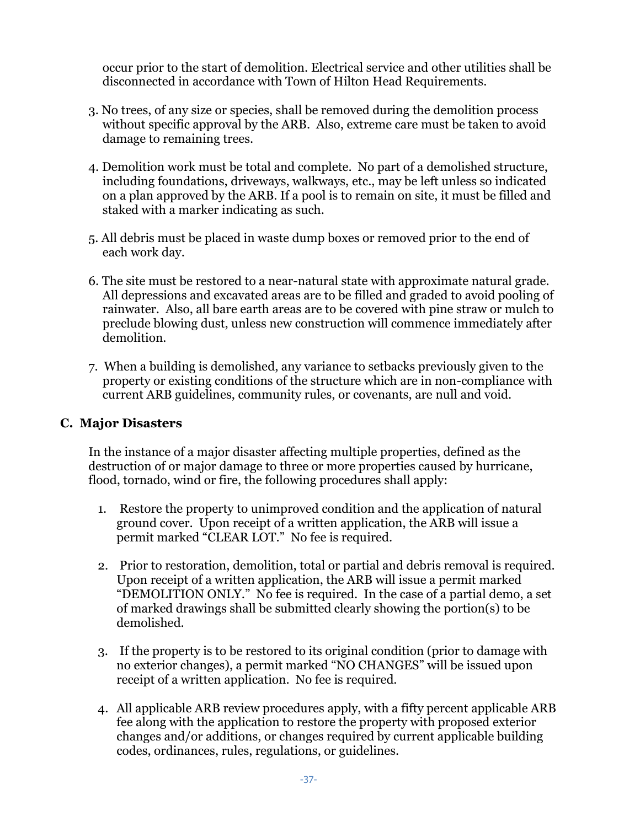occur prior to the start of demolition. Electrical service and other utilities shall be disconnected in accordance with Town of Hilton Head Requirements.

- 3. No trees, of any size or species, shall be removed during the demolition process without specific approval by the ARB. Also, extreme care must be taken to avoid damage to remaining trees.
- 4. Demolition work must be total and complete. No part of a demolished structure, including foundations, driveways, walkways, etc., may be left unless so indicated on a plan approved by the ARB. If a pool is to remain on site, it must be filled and staked with a marker indicating as such.
- 5. All debris must be placed in waste dump boxes or removed prior to the end of each work day.
- 6. The site must be restored to a near-natural state with approximate natural grade. All depressions and excavated areas are to be filled and graded to avoid pooling of rainwater. Also, all bare earth areas are to be covered with pine straw or mulch to preclude blowing dust, unless new construction will commence immediately after demolition.
- 7. When a building is demolished, any variance to setbacks previously given to the property or existing conditions of the structure which are in non-compliance with current ARB guidelines, community rules, or covenants, are null and void.

## **C. Major Disasters**

In the instance of a major disaster affecting multiple properties, defined as the destruction of or major damage to three or more properties caused by hurricane, flood, tornado, wind or fire, the following procedures shall apply:

- 1. Restore the property to unimproved condition and the application of natural ground cover. Upon receipt of a written application, the ARB will issue a permit marked "CLEAR LOT." No fee is required.
- 2. Prior to restoration, demolition, total or partial and debris removal is required. Upon receipt of a written application, the ARB will issue a permit marked "DEMOLITION ONLY." No fee is required. In the case of a partial demo, a set of marked drawings shall be submitted clearly showing the portion(s) to be demolished.
- 3. If the property is to be restored to its original condition (prior to damage with no exterior changes), a permit marked "NO CHANGES" will be issued upon receipt of a written application. No fee is required.
- 4. All applicable ARB review procedures apply, with a fifty percent applicable ARB fee along with the application to restore the property with proposed exterior changes and/or additions, or changes required by current applicable building codes, ordinances, rules, regulations, or guidelines.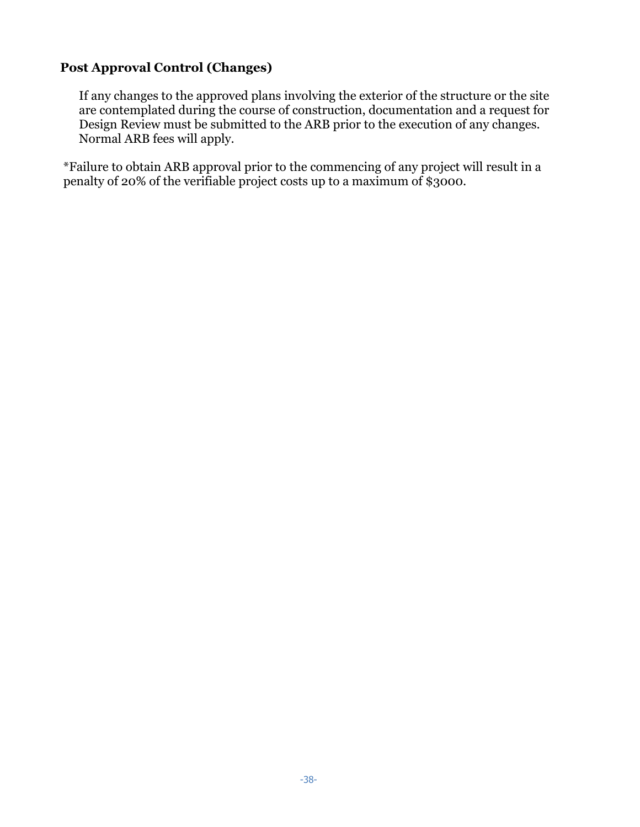## **Post Approval Control (Changes)**

If any changes to the approved plans involving the exterior of the structure or the site are contemplated during the course of construction, documentation and a request for Design Review must be submitted to the ARB prior to the execution of any changes. Normal ARB fees will apply.

\*Failure to obtain ARB approval prior to the commencing of any project will result in a penalty of 20% of the verifiable project costs up to a maximum of \$3000.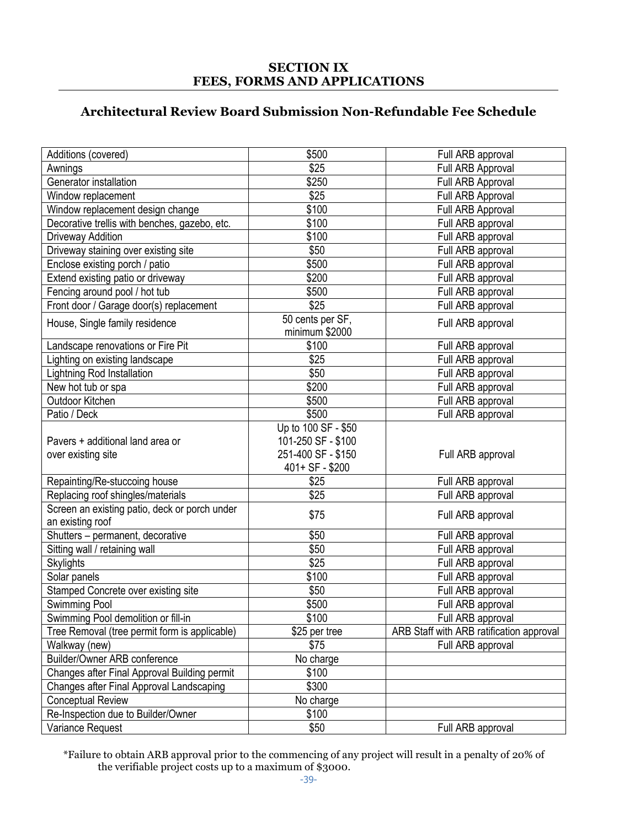#### **SECTION IX FEES, FORMS AND APPLICATIONS**

# **Architectural Review Board Submission Non-Refundable Fee Schedule**

| Additions (covered)                           | \$500               | Full ARB approval                        |
|-----------------------------------------------|---------------------|------------------------------------------|
| Awnings                                       | \$25                | Full ARB Approval                        |
| Generator installation                        | \$250               | Full ARB Approval                        |
| Window replacement                            | \$25                | Full ARB Approval                        |
| Window replacement design change              | \$100               | Full ARB Approval                        |
| Decorative trellis with benches, gazebo, etc. | \$100               | Full ARB approval                        |
| Driveway Addition                             | \$100               | Full ARB approval                        |
| Driveway staining over existing site          | \$50                | Full ARB approval                        |
| Enclose existing porch / patio                | \$500               | Full ARB approval                        |
| Extend existing patio or driveway             | \$200               | Full ARB approval                        |
| Fencing around pool / hot tub                 | \$500               | Full ARB approval                        |
| Front door / Garage door(s) replacement       | \$25                | Full ARB approval                        |
| House, Single family residence                | 50 cents per SF,    | Full ARB approval                        |
|                                               | minimum \$2000      |                                          |
| Landscape renovations or Fire Pit             | \$100               | Full ARB approval                        |
| Lighting on existing landscape                | \$25                | Full ARB approval                        |
| Lightning Rod Installation                    | \$50                | Full ARB approval                        |
| New hot tub or spa                            | \$200               | Full ARB approval                        |
| Outdoor Kitchen                               | \$500               | Full ARB approval                        |
| Patio / Deck                                  | \$500               | Full ARB approval                        |
|                                               | Up to 100 SF - \$50 |                                          |
| Pavers + additional land area or              | 101-250 SF - \$100  |                                          |
| over existing site                            | 251-400 SF - \$150  | Full ARB approval                        |
|                                               | 401+ SF - \$200     |                                          |
| Repainting/Re-stuccoing house                 | \$25                | Full ARB approval                        |
| Replacing roof shingles/materials             | \$25                | Full ARB approval                        |
| Screen an existing patio, deck or porch under |                     |                                          |
| an existing roof                              | \$75                | Full ARB approval                        |
| Shutters - permanent, decorative              | \$50                | Full ARB approval                        |
| Sitting wall / retaining wall                 | \$50                | Full ARB approval                        |
| <b>Skylights</b>                              | \$25                | Full ARB approval                        |
| Solar panels                                  | \$100               | Full ARB approval                        |
| Stamped Concrete over existing site           | \$50                | Full ARB approval                        |
| Swimming Pool                                 | \$500               | Full ARB approval                        |
| Swimming Pool demolition or fill-in           | \$100               | Full ARB approval                        |
| Tree Removal (tree permit form is applicable) | \$25 per tree       | ARB Staff with ARB ratification approval |
| Walkway (new)                                 | \$75                | Full ARB approval                        |
| Builder/Owner ARB conference                  | No charge           |                                          |
| Changes after Final Approval Building permit  | \$100               |                                          |
| Changes after Final Approval Landscaping      | \$300               |                                          |
| <b>Conceptual Review</b>                      | No charge           |                                          |
| Re-Inspection due to Builder/Owner            | \$100               |                                          |
| Variance Request                              | \$50                | Full ARB approval                        |
|                                               |                     |                                          |

\*Failure to obtain ARB approval prior to the commencing of any project will result in a penalty of 20% of the verifiable project costs up to a maximum of \$3000.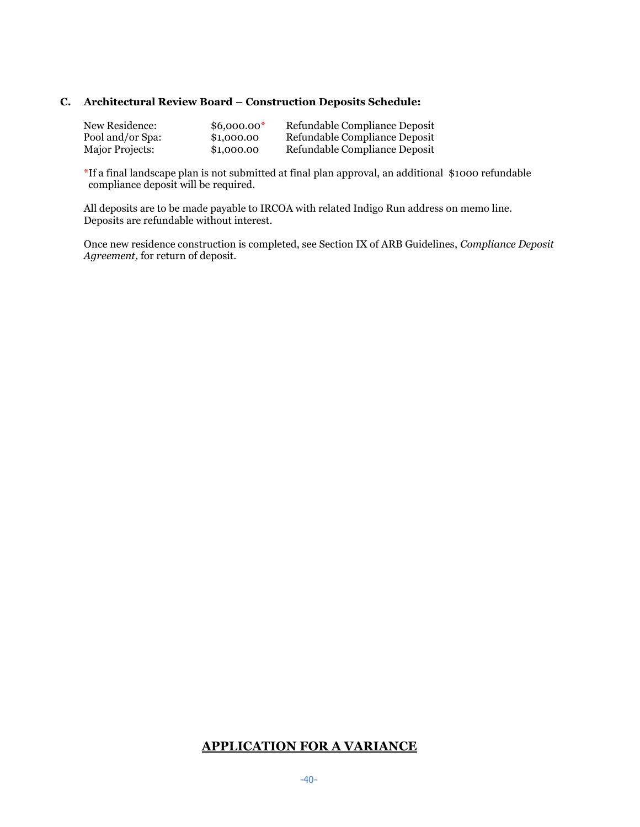#### **C. Architectural Review Board – Construction Deposits Schedule:**

| New Residence:   | $$6,000.00*$ | Refundable Compliance Deposit |
|------------------|--------------|-------------------------------|
| Pool and/or Spa: | \$1,000.00   | Refundable Compliance Deposit |
| Major Projects:  | \$1,000.00   | Refundable Compliance Deposit |

\*If a final landscape plan is not submitted at final plan approval, an additional \$1000 refundable compliance deposit will be required.

All deposits are to be made payable to IRCOA with related Indigo Run address on memo line. Deposits are refundable without interest.

Once new residence construction is completed, see Section IX of ARB Guidelines, *Compliance Deposit Agreement,* for return of deposit.

#### **APPLICATION FOR A VARIANCE**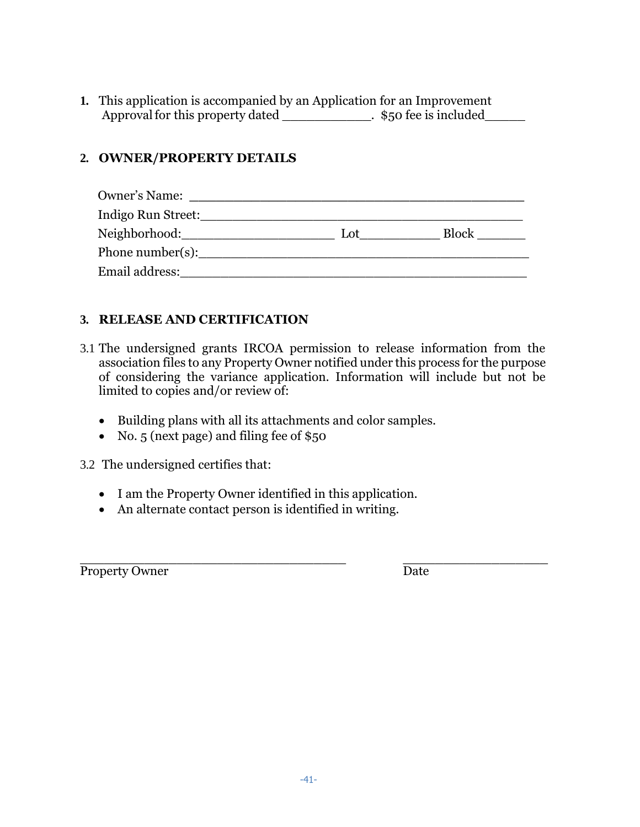**1.** This application is accompanied by an Application for an Improvement Approval for this property dated \_\_\_\_\_\_\_\_\_\_\_\_\_. \$50 fee is included\_\_\_\_\_\_

# **2. OWNER/PROPERTY DETAILS**

| Owner's Name:             |     |       |
|---------------------------|-----|-------|
| Indigo Run Street:_______ |     |       |
| Neighborhood:__           | Lot | Block |
| Phone number(s):          |     |       |
| Email address:            |     |       |

## **3. RELEASE AND CERTIFICATION**

- 3.1 The undersigned grants IRCOA permission to release information from the association files to any Property Owner notified under this process for the purpose of considering the variance application. Information will include but not be limited to copies and/or review of:
	- Building plans with all its attachments and color samples.
	- No. 5 (next page) and filing fee of \$50

3.2 The undersigned certifies that:

- I am the Property Owner identified in this application.
- An alternate contact person is identified in writing.

Property Owner Date

\_\_\_\_\_\_\_\_\_\_\_\_\_\_\_\_\_\_\_\_\_\_\_\_\_\_\_\_\_\_\_\_\_ \_\_\_\_\_\_\_\_\_\_\_\_\_\_\_\_\_\_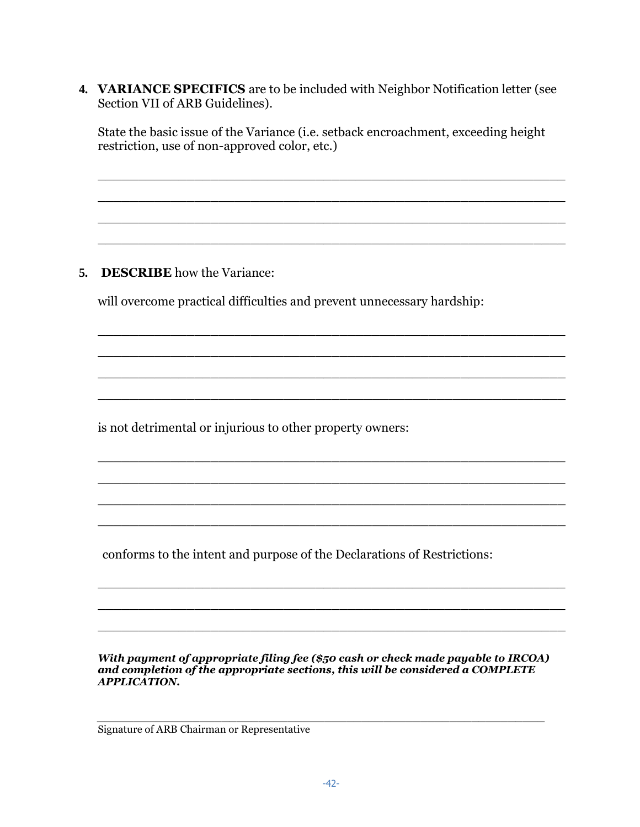**4. VARIANCE SPECIFICS** are to be included with Neighbor Notification letter (see Section VII of ARB Guidelines).

State the basic issue of the Variance (i.e. setback encroachment, exceeding height restriction, use of non-approved color, etc.)

\_\_\_\_\_\_\_\_\_\_\_\_\_\_\_\_\_\_\_\_\_\_\_\_\_\_\_\_\_\_\_\_\_\_\_\_\_\_\_\_\_\_\_\_\_\_\_\_\_\_\_\_\_\_\_\_\_\_

\_\_\_\_\_\_\_\_\_\_\_\_\_\_\_\_\_\_\_\_\_\_\_\_\_\_\_\_\_\_\_\_\_\_\_\_\_\_\_\_\_\_\_\_\_\_\_\_\_\_\_\_\_\_\_\_\_\_

\_\_\_\_\_\_\_\_\_\_\_\_\_\_\_\_\_\_\_\_\_\_\_\_\_\_\_\_\_\_\_\_\_\_\_\_\_\_\_\_\_\_\_\_\_\_\_\_\_\_\_\_\_\_\_\_\_\_

\_\_\_\_\_\_\_\_\_\_\_\_\_\_\_\_\_\_\_\_\_\_\_\_\_\_\_\_\_\_\_\_\_\_\_\_\_\_\_\_\_\_\_\_\_\_\_\_\_\_\_\_\_\_\_\_\_\_

\_\_\_\_\_\_\_\_\_\_\_\_\_\_\_\_\_\_\_\_\_\_\_\_\_\_\_\_\_\_\_\_\_\_\_\_\_\_\_\_\_\_\_\_\_\_\_\_\_\_\_\_\_\_\_\_\_\_

\_\_\_\_\_\_\_\_\_\_\_\_\_\_\_\_\_\_\_\_\_\_\_\_\_\_\_\_\_\_\_\_\_\_\_\_\_\_\_\_\_\_\_\_\_\_\_\_\_\_\_\_\_\_\_\_\_\_

\_\_\_\_\_\_\_\_\_\_\_\_\_\_\_\_\_\_\_\_\_\_\_\_\_\_\_\_\_\_\_\_\_\_\_\_\_\_\_\_\_\_\_\_\_\_\_\_\_\_\_\_\_\_\_\_\_\_

\_\_\_\_\_\_\_\_\_\_\_\_\_\_\_\_\_\_\_\_\_\_\_\_\_\_\_\_\_\_\_\_\_\_\_\_\_\_\_\_\_\_\_\_\_\_\_\_\_\_\_\_\_\_\_\_\_\_

\_\_\_\_\_\_\_\_\_\_\_\_\_\_\_\_\_\_\_\_\_\_\_\_\_\_\_\_\_\_\_\_\_\_\_\_\_\_\_\_\_\_\_\_\_\_\_\_\_\_\_\_\_\_\_\_\_\_

\_\_\_\_\_\_\_\_\_\_\_\_\_\_\_\_\_\_\_\_\_\_\_\_\_\_\_\_\_\_\_\_\_\_\_\_\_\_\_\_\_\_\_\_\_\_\_\_\_\_\_\_\_\_\_\_\_\_

\_\_\_\_\_\_\_\_\_\_\_\_\_\_\_\_\_\_\_\_\_\_\_\_\_\_\_\_\_\_\_\_\_\_\_\_\_\_\_\_\_\_\_\_\_\_\_\_\_\_\_\_\_\_\_\_\_\_

\_\_\_\_\_\_\_\_\_\_\_\_\_\_\_\_\_\_\_\_\_\_\_\_\_\_\_\_\_\_\_\_\_\_\_\_\_\_\_\_\_\_\_\_\_\_\_\_\_\_\_\_\_\_\_\_\_\_

\_\_\_\_\_\_\_\_\_\_\_\_\_\_\_\_\_\_\_\_\_\_\_\_\_\_\_\_\_\_\_\_\_\_\_\_\_\_\_\_\_\_\_\_\_\_\_\_\_\_\_\_\_\_\_\_\_\_

\_\_\_\_\_\_\_\_\_\_\_\_\_\_\_\_\_\_\_\_\_\_\_\_\_\_\_\_\_\_\_\_\_\_\_\_\_\_\_\_\_\_\_\_\_\_\_\_\_\_\_\_\_\_\_\_\_\_

\_\_\_\_\_\_\_\_\_\_\_\_\_\_\_\_\_\_\_\_\_\_\_\_\_\_\_\_\_\_\_\_\_\_\_\_\_\_\_\_\_\_\_\_\_\_\_\_\_\_\_\_\_\_\_\_\_\_

## **5. DESCRIBE** how the Variance:

will overcome practical difficulties and prevent unnecessary hardship:

is not detrimental or injurious to other property owners:

conforms to the intent and purpose of the Declarations of Restrictions:

*With payment of appropriate filing fee (\$50 cash or check made payable to IRCOA) and completion of the appropriate sections, this will be considered a COMPLETE APPLICATION.*

*\_\_\_\_\_\_\_\_\_\_\_\_\_\_\_\_\_\_\_\_\_\_\_\_\_\_\_\_\_\_\_\_\_\_\_\_\_\_\_\_\_\_\_\_\_\_\_\_\_\_\_\_\_\_\_\_\_\_\_\_\_*

Signature of ARB Chairman or Representative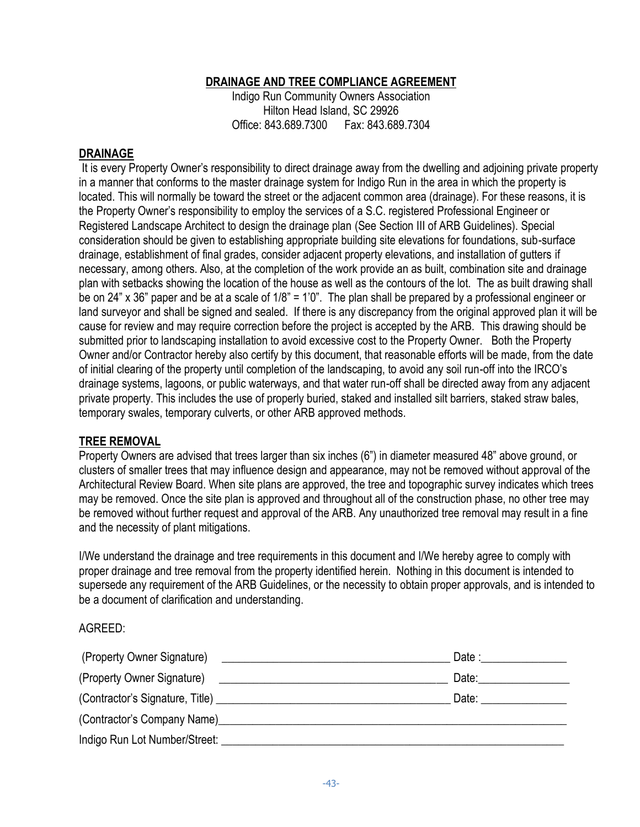## **DRAINAGE AND TREE COMPLIANCE AGREEMENT**

Indigo Run Community Owners Association Hilton Head Island, SC 29926 Office: 843.689.7300 Fax: 843.689.7304

#### **DRAINAGE**

It is every Property Owner's responsibility to direct drainage away from the dwelling and adjoining private property in a manner that conforms to the master drainage system for Indigo Run in the area in which the property is located. This will normally be toward the street or the adjacent common area (drainage). For these reasons, it is the Property Owner's responsibility to employ the services of a S.C. registered Professional Engineer or Registered Landscape Architect to design the drainage plan (See Section III of ARB Guidelines). Special consideration should be given to establishing appropriate building site elevations for foundations, sub-surface drainage, establishment of final grades, consider adjacent property elevations, and installation of gutters if necessary, among others. Also, at the completion of the work provide an as built, combination site and drainage plan with setbacks showing the location of the house as well as the contours of the lot. The as built drawing shall be on 24" x 36" paper and be at a scale of 1/8" = 1'0". The plan shall be prepared by a professional engineer or land surveyor and shall be signed and sealed. If there is any discrepancy from the original approved plan it will be cause for review and may require correction before the project is accepted by the ARB. This drawing should be submitted prior to landscaping installation to avoid excessive cost to the Property Owner. Both the Property Owner and/or Contractor hereby also certify by this document, that reasonable efforts will be made, from the date of initial clearing of the property until completion of the landscaping, to avoid any soil run-off into the IRCO's drainage systems, lagoons, or public waterways, and that water run-off shall be directed away from any adjacent private property. This includes the use of properly buried, staked and installed silt barriers, staked straw bales, temporary swales, temporary culverts, or other ARB approved methods.

#### **TREE REMOVAL**

Property Owners are advised that trees larger than six inches (6") in diameter measured 48" above ground, or clusters of smaller trees that may influence design and appearance, may not be removed without approval of the Architectural Review Board. When site plans are approved, the tree and topographic survey indicates which trees may be removed. Once the site plan is approved and throughout all of the construction phase, no other tree may be removed without further request and approval of the ARB. Any unauthorized tree removal may result in a fine and the necessity of plant mitigations.

I/We understand the drainage and tree requirements in this document and I/We hereby agree to comply with proper drainage and tree removal from the property identified herein. Nothing in this document is intended to supersede any requirement of the ARB Guidelines, or the necessity to obtain proper approvals, and is intended to be a document of clarification and understanding.

#### AGREED:

|                                                                                                                | Date : $\qquad \qquad$    |
|----------------------------------------------------------------------------------------------------------------|---------------------------|
| (Property Owner Signature) 2008 2009 2010 2020 2021 2022 2023 2024 2022 2022 2023 2024 2022 2023 2024 2022 202 | Date: ___________________ |
|                                                                                                                | Date: ______________      |
|                                                                                                                |                           |
|                                                                                                                |                           |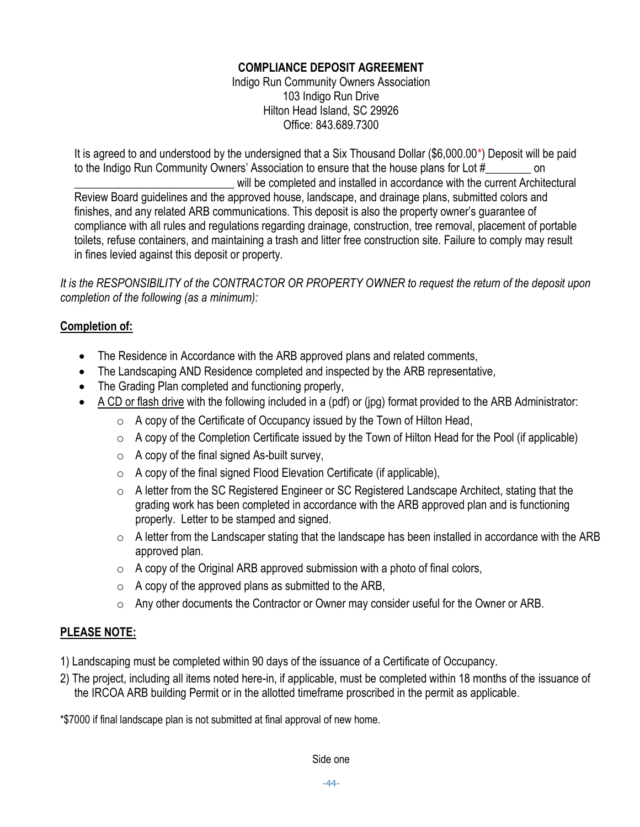## **COMPLIANCE DEPOSIT AGREEMENT**

Indigo Run Community Owners Association 103 Indigo Run Drive Hilton Head Island, SC 29926 Office: 843.689.7300

It is agreed to and understood by the undersigned that a Six Thousand Dollar (\$6,000.00\*) Deposit will be paid to the Indigo Run Community Owners' Association to ensure that the house plans for Lot # on will be completed and installed in accordance with the current Architectural Review Board guidelines and the approved house, landscape, and drainage plans, submitted colors and finishes, and any related ARB communications. This deposit is also the property owner's guarantee of compliance with all rules and regulations regarding drainage, construction, tree removal, placement of portable toilets, refuse containers, and maintaining a trash and litter free construction site. Failure to comply may result in fines levied against this deposit or property.

*It is the RESPONSIBILITY of the CONTRACTOR OR PROPERTY OWNER to request the return of the deposit upon completion of the following (as a minimum):*

## **Completion of:**

- The Residence in Accordance with the ARB approved plans and related comments,
- The Landscaping AND Residence completed and inspected by the ARB representative,
- The Grading Plan completed and functioning properly,
- A CD or flash drive with the following included in a (pdf) or (jpg) format provided to the ARB Administrator:
	- $\circ$  A copy of the Certificate of Occupancy issued by the Town of Hilton Head,
	- $\circ$  A copy of the Completion Certificate issued by the Town of Hilton Head for the Pool (if applicable)
	- $\circ$  A copy of the final signed As-built survey,
	- $\circ$  A copy of the final signed Flood Elevation Certificate (if applicable),
	- o A letter from the SC Registered Engineer or SC Registered Landscape Architect, stating that the grading work has been completed in accordance with the ARB approved plan and is functioning properly. Letter to be stamped and signed.
	- $\circ$  A letter from the Landscaper stating that the landscape has been installed in accordance with the ARB approved plan.
	- $\circ$  A copy of the Original ARB approved submission with a photo of final colors,
	- $\circ$  A copy of the approved plans as submitted to the ARB,
	- o Any other documents the Contractor or Owner may consider useful for the Owner or ARB.

# **PLEASE NOTE:**

- 1) Landscaping must be completed within 90 days of the issuance of a Certificate of Occupancy.
- 2) The project, including all items noted here-in, if applicable, must be completed within 18 months of the issuance of the IRCOA ARB building Permit or in the allotted timeframe proscribed in the permit as applicable.

\*\$7000 if final landscape plan is not submitted at final approval of new home.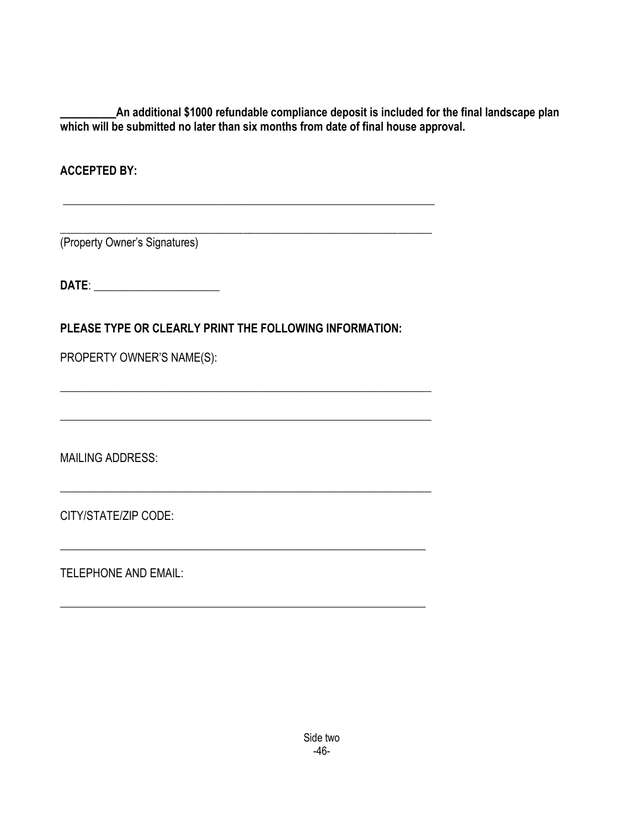**\_\_\_\_\_\_\_An additional \$1000 refundable compliance deposit is included for the final landscape plan which will be submitted no later than six months from date of final house approval.**

\_\_\_\_\_\_\_\_\_\_\_\_\_\_\_\_\_\_\_\_\_\_\_\_\_\_\_\_\_\_\_\_\_\_\_\_\_\_\_\_\_\_\_\_\_\_\_\_\_\_\_\_\_\_\_\_\_\_\_\_\_\_\_\_\_

**ACCEPTED BY:**

(Property Owner's Signatures)

**DATE**: \_\_\_\_\_\_\_\_\_\_\_\_\_\_\_\_\_\_\_\_\_\_

**PLEASE TYPE OR CLEARLY PRINT THE FOLLOWING INFORMATION:**

\_\_\_\_\_\_\_\_\_\_\_\_\_\_\_\_\_\_\_\_\_\_\_\_\_\_\_\_\_\_\_\_\_\_\_\_\_\_\_\_\_\_\_\_\_\_\_\_\_\_\_\_\_\_\_\_\_\_\_\_\_\_\_\_\_

\_\_\_\_\_\_\_\_\_\_\_\_\_\_\_\_\_\_\_\_\_\_\_\_\_\_\_\_\_\_\_\_\_\_\_\_\_\_\_\_\_\_\_\_\_\_\_\_\_\_\_\_\_\_\_\_\_\_\_\_\_\_\_\_\_

\_\_\_\_\_\_\_\_\_\_\_\_\_\_\_\_\_\_\_\_\_\_\_\_\_\_\_\_\_\_\_\_\_\_\_\_\_\_\_\_\_\_\_\_\_\_\_\_\_\_\_\_\_\_\_\_\_\_\_\_\_\_\_\_

\_\_\_\_\_\_\_\_\_\_\_\_\_\_\_\_\_\_\_\_\_\_\_\_\_\_\_\_\_\_\_\_\_\_\_\_\_\_\_\_\_\_\_\_\_\_\_\_\_\_\_\_\_\_\_\_\_\_\_\_\_\_\_\_

\_\_\_\_\_\_\_\_\_\_\_\_\_\_\_\_\_\_\_\_\_\_\_\_\_\_\_\_\_\_\_\_\_\_\_\_\_\_\_\_\_\_\_\_\_\_\_\_\_\_\_\_\_\_\_\_\_\_\_\_\_\_\_\_\_

PROPERTY OWNER'S NAME(S):

MAILING ADDRESS:

CITY/STATE/ZIP CODE:

TELEPHONE AND EMAIL: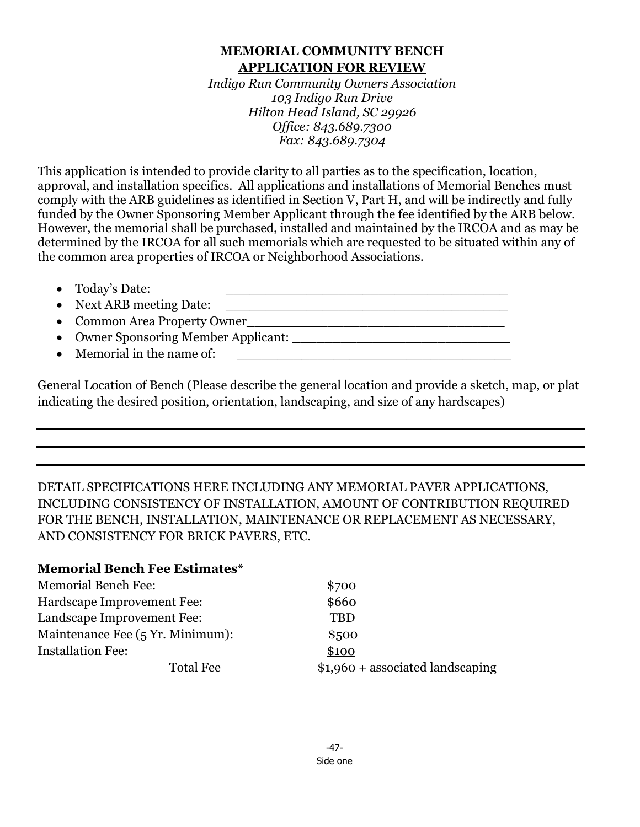## **MEMORIAL COMMUNITY BENCH APPLICATION FOR REVIEW**

*Indigo Run Community Owners Association 103 Indigo Run Drive Hilton Head Island, SC 29926 Office: 843.689.7300 Fax: 843.689.7304*

This application is intended to provide clarity to all parties as to the specification, location, approval, and installation specifics. All applications and installations of Memorial Benches must comply with the ARB guidelines as identified in Section V, Part H, and will be indirectly and fully funded by the Owner Sponsoring Member Applicant through the fee identified by the ARB below. However, the memorial shall be purchased, installed and maintained by the IRCOA and as may be determined by the IRCOA for all such memorials which are requested to be situated within any of the common area properties of IRCOA or Neighborhood Associations.

- Today's Date: \_\_\_\_\_\_\_\_\_\_\_\_\_\_\_\_\_\_\_\_\_\_\_\_\_\_\_\_\_\_\_\_\_\_\_
- Next ARB meeting Date: \_\_\_\_\_\_\_\_\_\_\_\_\_\_\_\_\_\_\_\_\_\_\_\_\_\_\_\_\_\_\_\_\_\_\_
- Common Area Property Owner\_\_\_\_\_\_\_\_\_\_\_\_\_\_\_\_\_\_\_\_\_\_\_\_\_\_\_\_\_\_\_\_
- Owner Sponsoring Member Applicant:
- Memorial in the name of:

General Location of Bench (Please describe the general location and provide a sketch, map, or plat indicating the desired position, orientation, landscaping, and size of any hardscapes)

DETAIL SPECIFICATIONS HERE INCLUDING ANY MEMORIAL PAVER APPLICATIONS, INCLUDING CONSISTENCY OF INSTALLATION, AMOUNT OF CONTRIBUTION REQUIRED FOR THE BENCH, INSTALLATION, MAINTENANCE OR REPLACEMENT AS NECESSARY, AND CONSISTENCY FOR BRICK PAVERS, ETC.

# **Memorial Bench Fee Estimates\***

| <b>Memorial Bench Fee:</b>       | \$700                             |
|----------------------------------|-----------------------------------|
| Hardscape Improvement Fee:       | \$660                             |
| Landscape Improvement Fee:       | <b>TBD</b>                        |
| Maintenance Fee (5 Yr. Minimum): | \$500                             |
| <b>Installation Fee:</b>         | \$100                             |
| <b>Total Fee</b>                 | $$1,960 +$ associated landscaping |

-47- Side one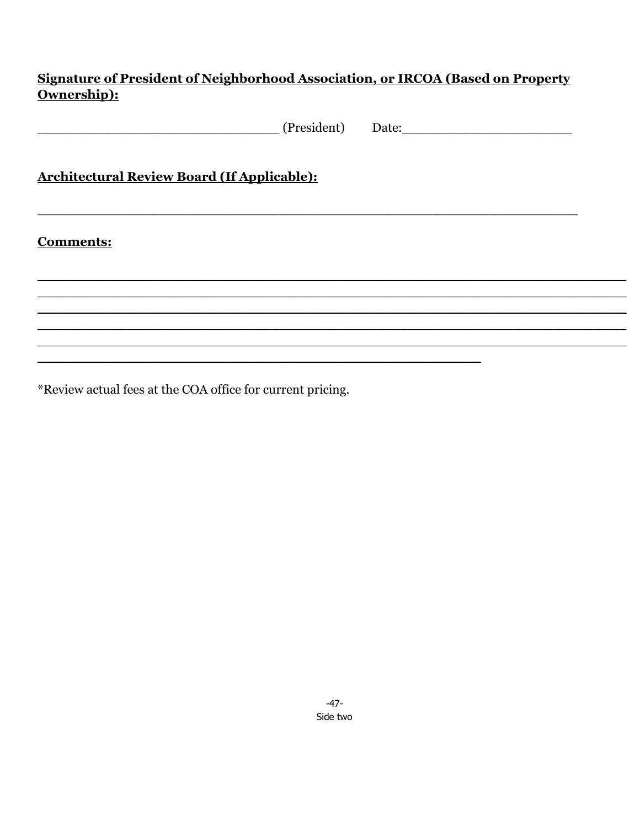# Signature of President of Neighborhood Association, or IRCOA (Based on Property Ownership):

|                                                    | (President) Date: |  |
|----------------------------------------------------|-------------------|--|
| <b>Architectural Review Board (If Applicable):</b> |                   |  |
| <b>Comments:</b>                                   |                   |  |
|                                                    |                   |  |
|                                                    |                   |  |
|                                                    |                   |  |

\*Review actual fees at the COA office for current pricing.

 $-47-$ Side two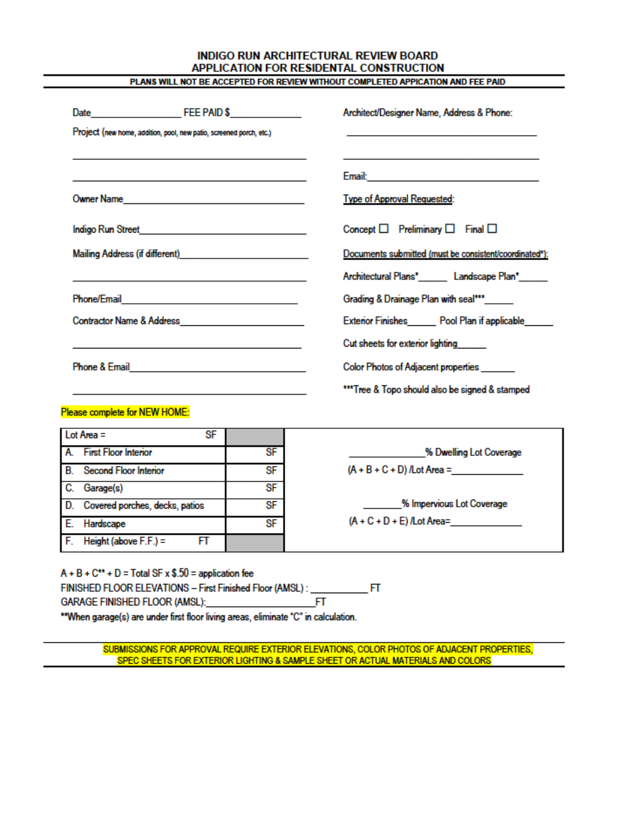#### **INDIGO RUN ARCHITECTURAL REVIEW BOARD** APPLICATION FOR RESIDENTAL CONSTRUCTION PLANS WILL NOT BE ACCEPTED FOR REVIEW WITHOUT COMPLETED APPICATION AND FEE PAID

| Architect/Designer Name, Address & Phone:                                                                       |
|-----------------------------------------------------------------------------------------------------------------|
|                                                                                                                 |
| Email: 2008. 2009. 2009. 2010. 2010. 2010. 2010. 2011. 2012. 2012. 2013. 2014. 2014. 2014. 2014. 2014. 2014. 20 |
| <b>Type of Approval Requested:</b>                                                                              |
| Concept $\Box$ Preliminary $\Box$ Final $\Box$                                                                  |
| Documents submitted (must be consistent/coordinated*):                                                          |
| Architectural Plans*________ Landscape Plan*______                                                              |
| Grading & Drainage Plan with seal***_____                                                                       |
| Exterior Finishes Pool Plan if applicable                                                                       |
| Cut sheets for exterior lighting                                                                                |
| Color Photos of Adjacent properties                                                                             |
| ***Tree & Topo should also be signed & stamped                                                                  |
|                                                                                                                 |

| FINISHED FLOOR ELEVATIONS - First Finished Floor (AMSL) : __                       |   | FT |
|------------------------------------------------------------------------------------|---|----|
| GARAGE FINISHED FLOOR (AMSL):                                                      | ы |    |
| **When garage(s) are under first floor living areas, eliminate "C" in calculation. |   |    |
|                                                                                    |   |    |

 $FT$ 

A. First Floor Interior

C. Garage(s)

E. Hardscape

**B.** Second Floor Interior

F. Height (above  $F.F.$ ) =

D. Covered porches, decks, patios

 $A + B + C^{**} + D = Total SF \times $.50 = application fee$ 

SF

SF

 $SF$ 

**SF** 

SF

SUBMISSIONS FOR APPROVAL REQUIRE EXTERIOR ELEVATIONS, COLOR PHOTOS OF ADJACENT PROPERTIES, SPEC SHEETS FOR EXTERIOR LIGHTING & SAMPLE SHEET OR ACTUAL MATERIALS AND COLORS

% Dwelling Lot Coverage

% Impervious Lot Coverage

 $(A + B + C + D)$ /Lot Area = \_\_\_\_\_

 $(A + C + D + E)$ /Lot Area=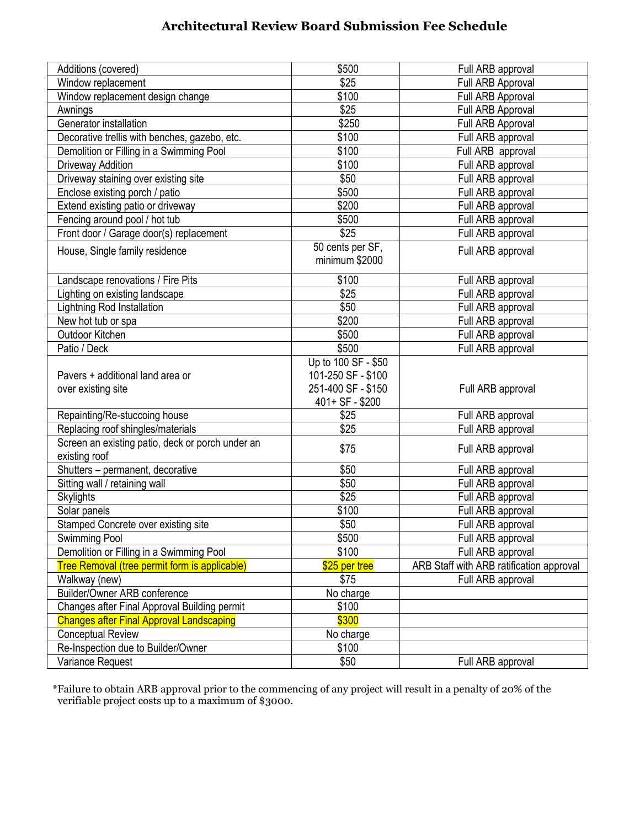# **Architectural Review Board Submission Fee Schedule**

| Additions (covered)                              | \$500               | Full ARB approval                        |
|--------------------------------------------------|---------------------|------------------------------------------|
| Window replacement                               | \$25                | Full ARB Approval                        |
| Window replacement design change                 | \$100               | Full ARB Approval                        |
| Awnings                                          | \$25                | Full ARB Approval                        |
| Generator installation                           | \$250               | Full ARB Approval                        |
| Decorative trellis with benches, gazebo, etc.    | \$100               | Full ARB approval                        |
| Demolition or Filling in a Swimming Pool         | \$100               | Full ARB approval                        |
| Driveway Addition                                | \$100               | Full ARB approval                        |
| Driveway staining over existing site             | \$50                | Full ARB approval                        |
| Enclose existing porch / patio                   | \$500               | Full ARB approval                        |
| Extend existing patio or driveway                | \$200               | Full ARB approval                        |
| Fencing around pool / hot tub                    | \$500               | Full ARB approval                        |
| Front door / Garage door(s) replacement          | \$25                | Full ARB approval                        |
| House, Single family residence                   | 50 cents per SF,    | Full ARB approval                        |
|                                                  | minimum \$2000      |                                          |
| Landscape renovations / Fire Pits                | \$100               | Full ARB approval                        |
| Lighting on existing landscape                   | \$25                | Full ARB approval                        |
| Lightning Rod Installation                       | \$50                | Full ARB approval                        |
| New hot tub or spa                               | \$200               | Full ARB approval                        |
| Outdoor Kitchen                                  | \$500               | Full ARB approval                        |
| Patio / Deck                                     | \$500               | Full ARB approval                        |
|                                                  | Up to 100 SF - \$50 |                                          |
| Pavers + additional land area or                 | 101-250 SF - \$100  |                                          |
| over existing site                               | 251-400 SF - \$150  | Full ARB approval                        |
|                                                  | 401+ SF - \$200     |                                          |
| Repainting/Re-stuccoing house                    | \$25                | Full ARB approval                        |
| Replacing roof shingles/materials                | $\overline{$25}$    | Full ARB approval                        |
| Screen an existing patio, deck or porch under an |                     |                                          |
| existing roof                                    | \$75                | Full ARB approval                        |
| Shutters - permanent, decorative                 | \$50                | Full ARB approval                        |
| Sitting wall / retaining wall                    | \$50                | Full ARB approval                        |
| <b>Skylights</b>                                 | \$25                | Full ARB approval                        |
| Solar panels                                     | \$100               | Full ARB approval                        |
| Stamped Concrete over existing site              | \$50                |                                          |
|                                                  |                     | Full ARB approval<br>Full ARB approval   |
| Swimming Pool                                    | \$500<br>\$100      |                                          |
| Demolition or Filling in a Swimming Pool         |                     | Full ARB approval                        |
| Tree Removal (tree permit form is applicable)    | \$25 per tree       | ARB Staff with ARB ratification approval |
| Walkway (new)<br>Builder/Owner ARB conference    | \$75                | Full ARB approval                        |
|                                                  | No charge           |                                          |
| Changes after Final Approval Building permit     | \$100               |                                          |
| <b>Changes after Final Approval Landscaping</b>  | \$300               |                                          |
| Conceptual Review                                | No charge           |                                          |
| Re-Inspection due to Builder/Owner               | \$100               |                                          |
| Variance Request                                 | \$50                | Full ARB approval                        |

 \*Failure to obtain ARB approval prior to the commencing of any project will result in a penalty of 20% of the verifiable project costs up to a maximum of \$3000.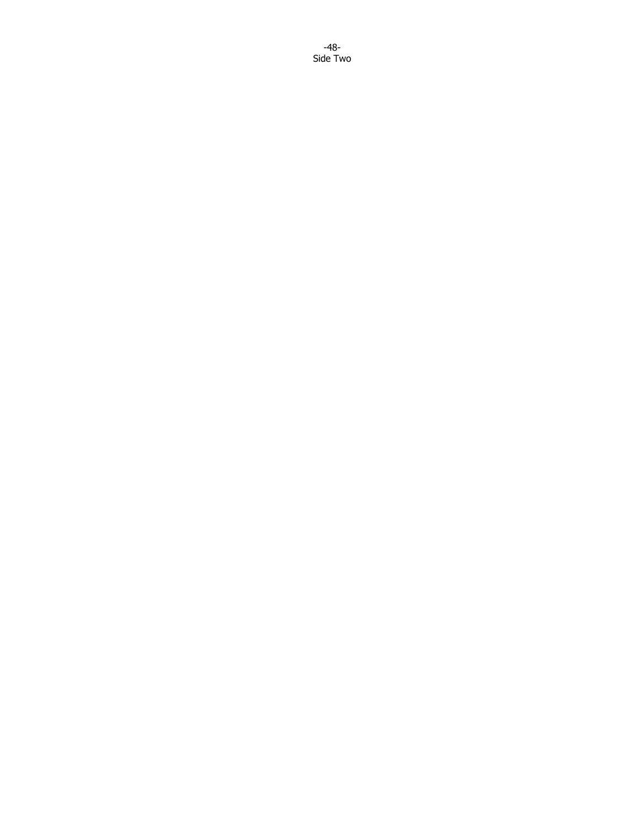-48- Side Two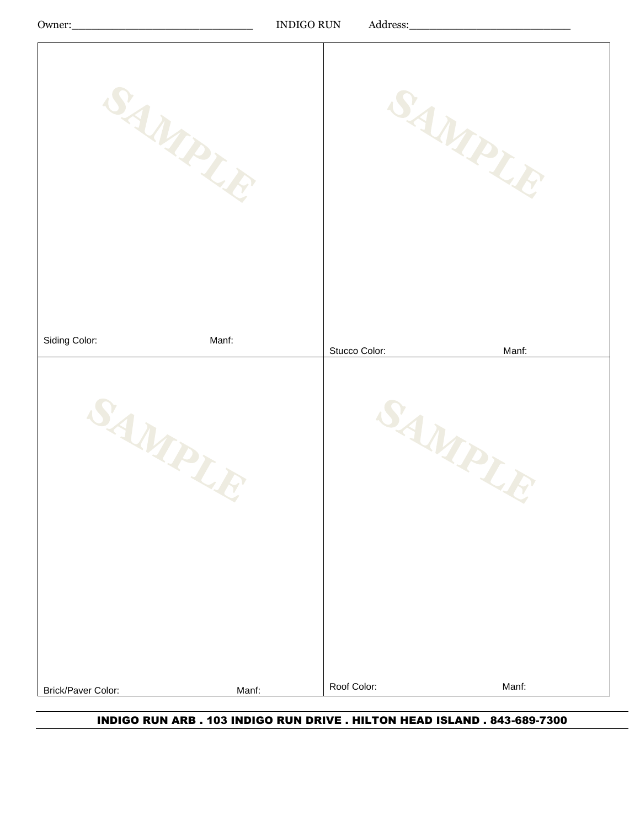Owner:\_\_\_\_\_\_\_\_\_\_\_\_\_\_\_\_\_\_\_\_\_\_\_\_\_\_\_ INDIGO RUN Address:\_\_\_\_\_\_\_\_\_\_\_\_\_\_\_\_\_\_\_\_\_\_\_\_

| SAMPLE             | SAMPLE        |
|--------------------|---------------|
| Siding Color:      | Stucco Color: |
| Manf:              | Manf:         |
| SAMPLE             | SAMPLE        |
| Brick/Paver Color: | Roof Color:   |
| Manf:              | Manf:         |

INDIGO RUN ARB . 103 INDIGO RUN DRIVE . HILTON HEAD ISLAND . 843-689-7300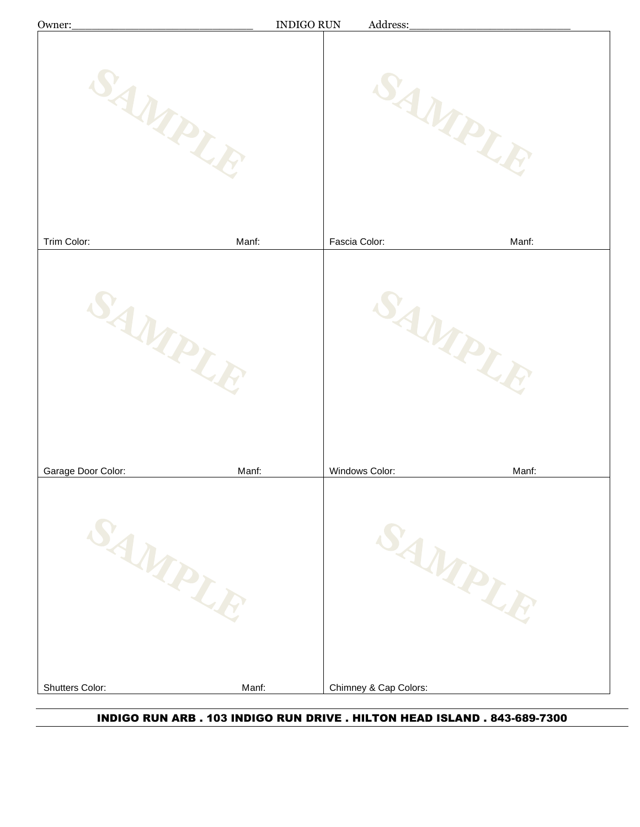| Owner:             | <b>INDIGO RUN</b> | Address:               |       |
|--------------------|-------------------|------------------------|-------|
| 'AMPLI             |                   | AMPLE                  |       |
| Trim Color:        | Manf:             | Fascia Color:<br>Manf: |       |
| SAMPLE             |                   | SAMPLE                 |       |
| Garage Door Color: | Manf:             | Windows Color:         | Manf: |
| SAMPLE             |                   | SAMPLE                 |       |
| Shutters Color:    | Manf:             | Chimney & Cap Colors:  |       |

INDIGO RUN ARB . 103 INDIGO RUN DRIVE . HILTON HEAD ISLAND . 843-689-7300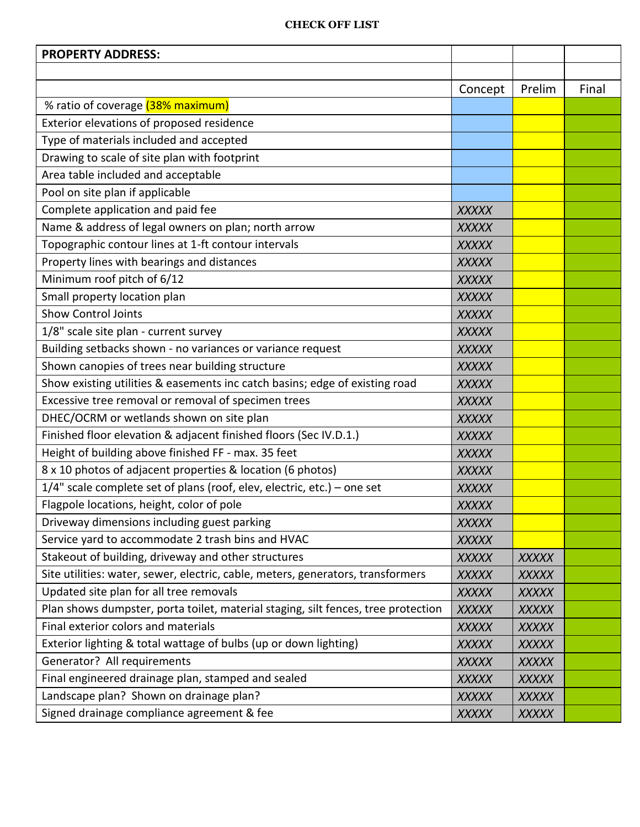#### **CHECK OFF LIST**

| <b>PROPERTY ADDRESS:</b>                                                          |              |              |       |
|-----------------------------------------------------------------------------------|--------------|--------------|-------|
|                                                                                   |              |              |       |
|                                                                                   | Concept      | Prelim       | Final |
| % ratio of coverage (38% maximum)                                                 |              |              |       |
| Exterior elevations of proposed residence                                         |              |              |       |
| Type of materials included and accepted                                           |              |              |       |
| Drawing to scale of site plan with footprint                                      |              |              |       |
| Area table included and acceptable                                                |              |              |       |
| Pool on site plan if applicable                                                   |              |              |       |
| Complete application and paid fee                                                 | <b>XXXXX</b> |              |       |
| Name & address of legal owners on plan; north arrow                               | <b>XXXXX</b> |              |       |
| Topographic contour lines at 1-ft contour intervals                               | <b>XXXXX</b> |              |       |
| Property lines with bearings and distances                                        | <b>XXXXX</b> |              |       |
| Minimum roof pitch of 6/12                                                        | <b>XXXXX</b> |              |       |
| Small property location plan                                                      | <b>XXXXX</b> |              |       |
| <b>Show Control Joints</b>                                                        | <b>XXXXX</b> |              |       |
| 1/8" scale site plan - current survey                                             | <b>XXXXX</b> |              |       |
| Building setbacks shown - no variances or variance request                        | <b>XXXXX</b> |              |       |
| Shown canopies of trees near building structure                                   | <b>XXXXX</b> |              |       |
| Show existing utilities & easements inc catch basins; edge of existing road       | <b>XXXXX</b> |              |       |
| Excessive tree removal or removal of specimen trees                               | <b>XXXXX</b> |              |       |
| DHEC/OCRM or wetlands shown on site plan                                          | <b>XXXXX</b> |              |       |
| Finished floor elevation & adjacent finished floors (Sec IV.D.1.)                 | <b>XXXXX</b> |              |       |
| Height of building above finished FF - max. 35 feet                               | <b>XXXXX</b> |              |       |
| 8 x 10 photos of adjacent properties & location (6 photos)                        | <b>XXXXX</b> |              |       |
| 1/4" scale complete set of plans (roof, elev, electric, etc.) - one set           | <b>XXXXX</b> |              |       |
| Flagpole locations, height, color of pole                                         | <b>XXXXX</b> |              |       |
| Driveway dimensions including guest parking                                       | <b>XXXXX</b> |              |       |
| Service yard to accommodate 2 trash bins and HVAC                                 | <b>XXXXX</b> |              |       |
| Stakeout of building, driveway and other structures                               | <b>XXXXX</b> | <b>XXXXX</b> |       |
| Site utilities: water, sewer, electric, cable, meters, generators, transformers   | <b>XXXXX</b> | <b>XXXXX</b> |       |
| Updated site plan for all tree removals                                           | <b>XXXXX</b> | <b>XXXXX</b> |       |
| Plan shows dumpster, porta toilet, material staging, silt fences, tree protection | <b>XXXXX</b> | <b>XXXXX</b> |       |
| Final exterior colors and materials                                               | <b>XXXXX</b> | <b>XXXXX</b> |       |
| Exterior lighting & total wattage of bulbs (up or down lighting)                  | <b>XXXXX</b> | <b>XXXXX</b> |       |
| Generator? All requirements                                                       | <b>XXXXX</b> | <b>XXXXX</b> |       |
| Final engineered drainage plan, stamped and sealed                                | <b>XXXXX</b> | <b>XXXXX</b> |       |
| Landscape plan? Shown on drainage plan?                                           | <b>XXXXX</b> | <b>XXXXX</b> |       |
| Signed drainage compliance agreement & fee                                        | <b>XXXXX</b> | <b>XXXXX</b> |       |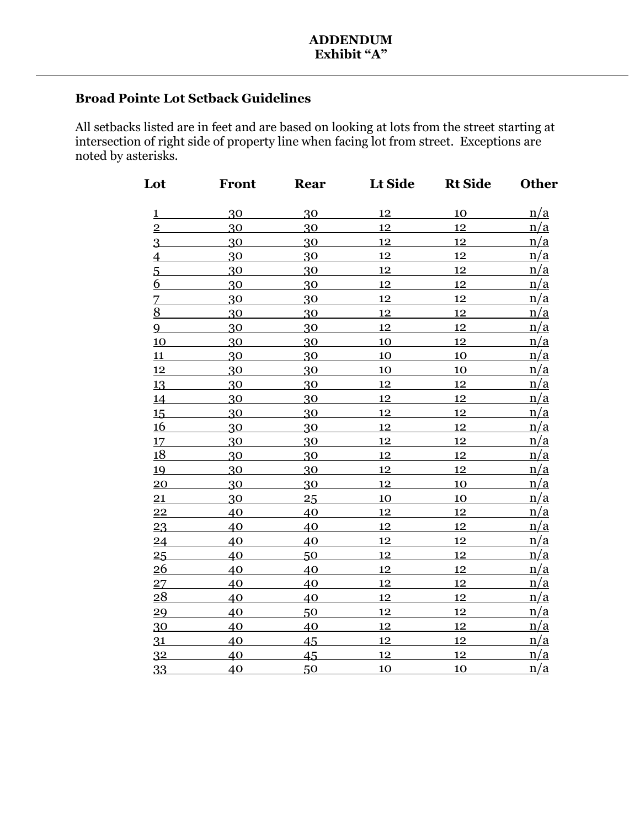## **Broad Pointe Lot Setback Guidelines**

All setbacks listed are in feet and are based on looking at lots from the street starting at intersection of right side of property line when facing lot from street. Exceptions are noted by asterisks.

| Lot                     | Front | Rear | Lt Side   | <b>Rt Side</b> | <b>Other</b> |
|-------------------------|-------|------|-----------|----------------|--------------|
| $\overline{\mathbf{1}}$ | 30    | 30   | 12        | 10             | n/a          |
| $\overline{2}$          | 30    | 30   | 12        | 12             | n/a          |
| $\overline{3}$          | 30    | 30   | 12        | 12             | n/a          |
| $\overline{4}$          | 30    | 30   | 12        | 12             | n/a          |
| $\overline{5}$          | 30    | 30   | 12        | 12             | n/a          |
| 6                       | 30    | 30   | 12        | 12             | n/a          |
|                         | 30    | 30   | 12        | 12             | n/a          |
| $\frac{7}{8}$           | 30    | 30   | 12        | 12             | n/a          |
| $\overline{9}$          | 30    | 30   | 12        | 12             | n/a          |
| 10                      | 30    | 30   | 10        | 12             | n/a          |
| 11                      | 30    | 30   | 10        | 10             | n/a          |
| 12                      | 30    | 30   | 10        | 10             | n/a          |
| 13                      | 30    | 30   | 12        | 12             | n/a          |
| 14                      | 30    | 30   | 12        | 12             | n/a          |
| 15                      | 30    | 30   | 12        | 12             | n/a          |
| <u>16</u>               | 30    | 30   | 12        | 12             | n/a          |
| 17                      | 30    | 30   | 12        | 12             | n/a          |
| <u>18</u>               | 30    | 30   | 12        | 12             | n/a          |
| 19                      | 30    | 30   | 12        | 12             | n/a          |
| $\overline{20}$         | 30    | 30   | 12        | <b>10</b>      | n/a          |
| 21                      | 30    | 25   | <b>10</b> | <u>10</u>      | n/a          |
| $\overline{22}$         | 40    | 40   | 12        | 12             | n/a          |
| 23                      | 40    | 40   | 12        | 12             | n/a          |
| 24                      | 40    | 40   | 12        | 12             | n/a          |
| 25                      | 40    | 50   | 12        | 12             | n/a          |
| 26                      | 40    | 40   | 12        | 12             | n/a          |
| 27                      | 40    | 40   | 12        | 12             | n/a          |
| 28                      | 40    | 40   | 12        | 12             | n/a          |
| $\overline{29}$         | 40    | 50   | 12        | 12             | n/a          |
| 30                      | 40    | 40   | 12        | 12             | n/a          |
| 31                      | 40    | 45   | 12        | 12             | n/a          |
| 3 <sup>2</sup>          | 40    | 45   | 12        | 12             | n/a          |
| 33                      | 40    | 50   | <u>10</u> | 10             | n/a          |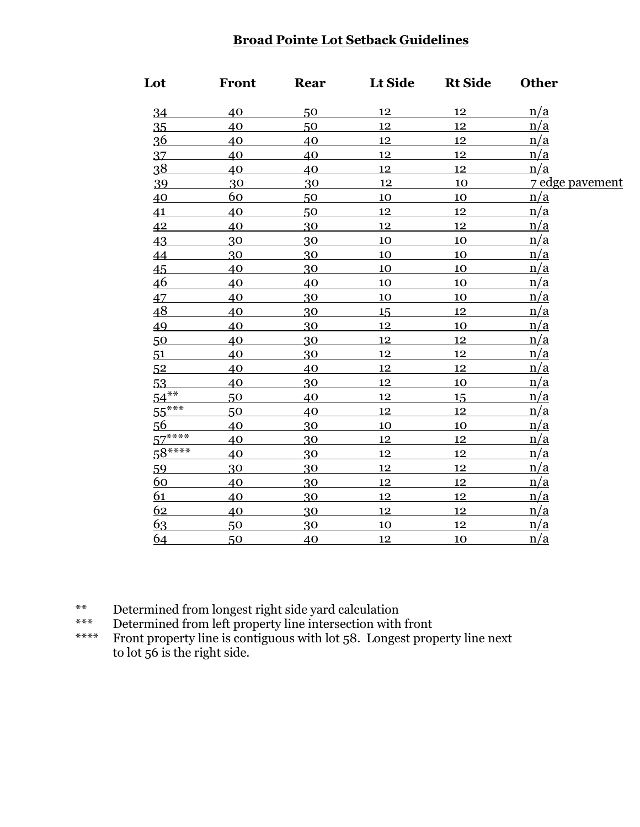## **Broad Pointe Lot Setback Guidelines**

| Lot            | <b>Front</b> | Rear | Lt Side   | <b>Rt Side</b> | <b>Other</b>    |
|----------------|--------------|------|-----------|----------------|-----------------|
| 34             | 40           | 50   | 12        | 12             | n/a             |
| 35             | 40           | 50   | 12        | 12             | n/a             |
| <u>36</u>      | 40           | 40   | 12        | 12             | n/a             |
| 37             | 40           | 40   | 12        | 12             | n/a             |
| 38             | 40           | 40   | 12        | 12             | n/a             |
| 39             | 30           | 30   | 12        | 10             | 7 edge pavement |
| 40             | 60           | 50   | 10        | 10             | n/a             |
| 41             | 40           | 50   | 12        | 12             | n/a             |
| 42             | 40           | 30   | 12        | 12             | n/a             |
| 43             | 30           | 30   | <u>10</u> | 10             | n/a             |
| 44             | 30           | 30   | 10        | 10             | n/a             |
| 45             | 40           | 30   | 10        | 10             | n/a             |
| 46             | 40           | 40   | 10        | 10             | n/a             |
| 47             | 40           | 30   | 10        | 10             | n/a             |
| 48             | 40           | 30   | 15        | 12             | n/a             |
| 49             | 40           | 30   | 12        | 10             | n/a             |
| 50             | 40           | 30   | 12        | 12             | n/a             |
| 51             | 40           | 30   | 12        | 12             | n/a             |
| 5 <sup>2</sup> | 40           | 40   | 12        | 12             | n/a             |
| 53             | 40           | 30   | 12        | 10             | n/a             |
| $54***$        | 50           | 40   | 12        | 15             | n/a             |
| $55***$        | 50           | 40   | 12        | 12             | n/a             |
| 56             | 40           | 30   | 10        | 10             | n/a             |
| $57***$        | 40           | 30   | 12        | 12             | n/a             |
| $58***$        | 40           | 30   | 12        | 12             | n/a             |
| 59             | 30           | 30   | 12        | 12             | n/a             |
| 60             | 40           | 30   | 12        | 12             | n/a             |
| 61             | 40           | 30   | 12        | 12             | n/a             |
| 62             | 40           | 30   | 12        | 12             | n/a             |
| 63             | 50           | 30   | 10        | 12             | n/a             |
| <u>64</u>      | 50           | 40   | 12        | 10             | <u>n/a</u>      |

\*\* Determined from longest right side yard calculation<br>\*\*\* Determined from left property line intersection with

\*\*\* Determined from left property line intersection with front<br>\*\*\*\* Front property line is contiguous with lot 58. Longest prop

Front property line is contiguous with lot 58. Longest property line next to lot 56 is the right side.